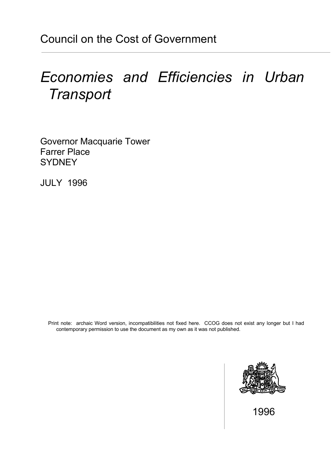# *Economies and Efficiencies in Urban Transport*

Governor Macquarie Tower Farrer Place **SYDNEY** 

JULY 1996

Print note: archaic Word version, incompatibilities not fixed here. CCOG does not exist any longer but I had contemporary permission to use the document as my own as it was not published.



1996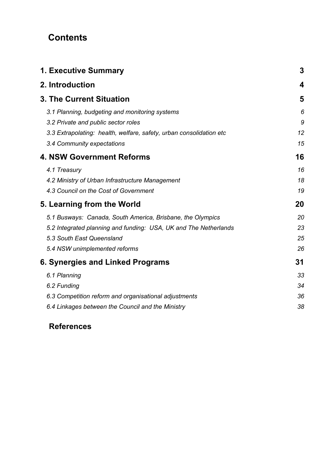# **Contents**

| <b>1. Executive Summary</b>                                                                                                                                                                  | 3                    |
|----------------------------------------------------------------------------------------------------------------------------------------------------------------------------------------------|----------------------|
| 2. Introduction                                                                                                                                                                              | 4                    |
| <b>3. The Current Situation</b>                                                                                                                                                              | 5                    |
| 3.1 Planning, budgeting and monitoring systems<br>3.2 Private and public sector roles<br>3.3 Extrapolating: health, welfare, safety, urban consolidation etc                                 | 6<br>9<br>12         |
| 3.4 Community expectations                                                                                                                                                                   | 15                   |
| <b>4. NSW Government Reforms</b>                                                                                                                                                             | 16                   |
| 4.1 Treasury<br>4.2 Ministry of Urban Infrastructure Management<br>4.3 Council on the Cost of Government                                                                                     | 16<br>18<br>19       |
| 5. Learning from the World                                                                                                                                                                   | 20                   |
| 5.1 Busways: Canada, South America, Brisbane, the Olympics<br>5.2 Integrated planning and funding: USA, UK and The Netherlands<br>5.3 South East Queensland<br>5.4 NSW unimplemented reforms | 20<br>23<br>25<br>26 |
| 6. Synergies and Linked Programs                                                                                                                                                             | 31                   |
| 6.1 Planning<br>6.2 Funding<br>6.3 Competition reform and organisational adjustments<br>6.4 Linkages between the Council and the Ministry                                                    | 33<br>34<br>36<br>38 |
|                                                                                                                                                                                              |                      |

# **References**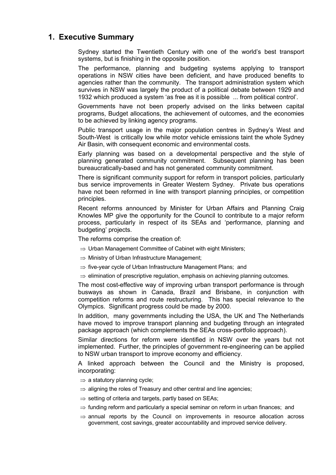# **1. Executive Summary**

 Sydney started the Twentieth Century with one of the world's best transport systems, but is finishing in the opposite position.

 The performance, planning and budgeting systems applying to transport operations in NSW cities have been deficient, and have produced benefits to agencies rather than the community. The transport administration system which survives in NSW was largely the product of a political debate between 1929 and 1932 which produced a system 'as free as it is possible ... from political control'.

 Governments have not been properly advised on the links between capital programs, Budget allocations, the achievement of outcomes, and the economies to be achieved by linking agency programs.

 Public transport usage in the major population centres in Sydney's West and South-West is critically low while motor vehicle emissions taint the whole Sydney Air Basin, with consequent economic and environmental costs.

 Early planning was based on a developmental perspective and the style of planning generated community commitment. Subsequent planning has been bureaucratically-based and has not generated community commitment.

 There is significant community support for reform in transport policies, particularly bus service improvements in Greater Western Sydney. Private bus operations have not been reformed in line with transport planning principles, or competition principles.

 Recent reforms announced by Minister for Urban Affairs and Planning Craig Knowles MP give the opportunity for the Council to contribute to a major reform process, particularly in respect of its SEAs and 'performance, planning and budgeting' projects.

The reforms comprise the creation of:

- $\Rightarrow$  Urban Management Committee of Cabinet with eight Ministers;
- $\Rightarrow$  Ministry of Urban Infrastructure Management;
- $\Rightarrow$  five-year cycle of Urban Infrastructure Management Plans; and

 $\Rightarrow$  elimination of prescriptive regulation, emphasis on achieving planning outcomes.

 The most cost-effective way of improving urban transport performance is through busways as shown in Canada, Brazil and Brisbane, in conjunction with competition reforms and route restructuring. This has special relevance to the Olympics. Significant progress could be made by 2000.

 In addition, many governments including the USA, the UK and The Netherlands have moved to improve transport planning and budgeting through an integrated package approach (which complements the SEAs cross-portfolio approach).

 Similar directions for reform were identified in NSW over the years but not implemented. Further, the principles of government re-engineering can be applied to NSW urban transport to improve economy and efficiency.

 A linked approach between the Council and the Ministry is proposed, incorporating:

- $\Rightarrow$  a statutory planning cycle;
- $\Rightarrow$  aligning the roles of Treasury and other central and line agencies;
- $\Rightarrow$  setting of criteria and targets, partly based on SEAs;
- $\Rightarrow$  funding reform and particularly a special seminar on reform in urban finances; and
- $\Rightarrow$  annual reports by the Council on improvements in resource allocation across government, cost savings, greater accountability and improved service delivery.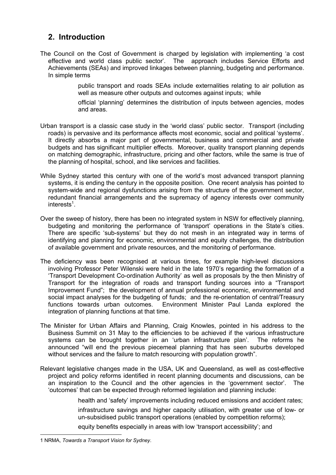# **2. Introduction**

The Council on the Cost of Government is charged by legislation with implementing 'a cost effective and world class public sector'. The approach includes Service Efforts and Achievements (SEAs) and improved linkages between planning, budgeting and performance. In simple terms

> public transport and roads SEAs include externalities relating to air pollution as well as measure other outputs and outcomes against inputs; while

> official 'planning' determines the distribution of inputs between agencies, modes and areas.

- Urban transport is a classic case study in the 'world class' public sector. Transport (including roads) is pervasive and its performance affects most economic, social and political 'systems'. It directly absorbs a major part of governmental, business and commercial and private budgets and has significant multiplier effects. Moreover, quality transport planning depends on matching demographic, infrastructure, pricing and other factors, while the same is true of the planning of hospital, school, and like services and facilities.
- While Sydney started this century with one of the world's most advanced transport planning systems, it is ending the century in the opposite position. One recent analysis has pointed to system-wide and regional dysfunctions arising from the structure of the government sector, redundant financial arrangements and the supremacy of agency interests over community interests $^1$ .
- Over the sweep of history, there has been no integrated system in NSW for effectively planning, budgeting and monitoring the performance of 'transport' operations in the State's cities. There are specific 'sub-systems' but they do not mesh in an integrated way in terms of identifying and planning for economic, environmental and equity challenges, the distribution of available government and private resources, and the monitoring of performance.
- The deficiency was been recognised at various times, for example high-level discussions involving Professor Peter Wilenski were held in the late 1970's regarding the formation of a 'Transport Development Co-ordination Authority' as well as proposals by the then Ministry of Transport for the integration of roads and transport funding sources into a "Transport Improvement Fund"; the development of annual professional economic, environmental and social impact analyses for the budgeting of funds; and the re-orientation of central/Treasury functions towards urban outcomes. Environment Minister Paul Landa explored the integration of planning functions at that time.
- The Minister for Urban Affairs and Planning, Craig Knowles, pointed in his address to the Business Summit on 31 May to the efficiencies to be achieved if the various infrastructure systems can be brought together in an 'urban infrastructure plan'. The reforms he announced "will end the previous piecemeal planning that has seen suburbs developed without services and the failure to match resourcing with population growth".
- Relevant legislative changes made in the USA, UK and Queensland, as well as cost-effective project and policy reforms identified in recent planning documents and discussions, can be an inspiration to the Council and the other agencies in the 'government sector'. The 'outcomes' that can be expected through reformed legislation and planning include:

health and 'safety' improvements including reduced emissions and accident rates;

 infrastructure savings and higher capacity utilisation, with greater use of low- or un-subsidised public transport operations (enabled by competition reforms);

equity benefits especially in areas with low 'transport accessibility'; and

 <sup>1</sup> NRMA, *Towards a Transport Vision for Sydney*.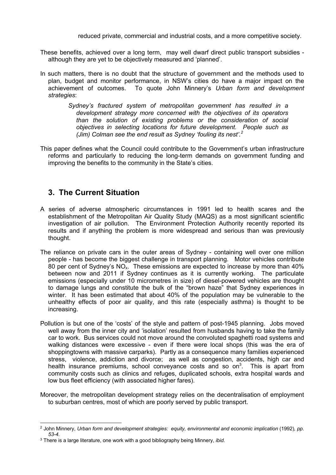reduced private, commercial and industrial costs, and a more competitive society.

- These benefits, achieved over a long term, may well dwarf direct public transport subsidies although they are yet to be objectively measured and 'planned'.
- In such matters, there is no doubt that the structure of government and the methods used to plan, budget and monitor performance, in NSW's cities do have a major impact on the achievement of outcomes. To quote John Minnery's *Urban form and development strategies*:
	- *Sydney's fractured system of metropolitan government has resulted in a development strategy more concerned with the objectives of its operators than the solution of existing problems or the consideration of social objectives in selecting locations for future development. People such as (Jim) Colman see the end result as Sydney 'fouling its nest'.<sup>2</sup>*
- This paper defines what the Council could contribute to the Government's urban infrastructure reforms and particularly to reducing the long-term demands on government funding and improving the benefits to the community in the State's cities.

# **3. The Current Situation**

- A series of adverse atmospheric circumstances in 1991 led to health scares and the establishment of the Metropolitan Air Quality Study (MAQS) as a most significant scientific investigation of air pollution. The Environment Protection Authority recently reported its results and if anything the problem is more widespread and serious than was previously thought.
- The reliance on private cars in the outer areas of Sydney containing well over one million people - has become the biggest challenge in transport planning. Motor vehicles contribute 80 per cent of Sydney's  $NO<sub>x</sub>$ . These emissions are expected to increase by more than 40% between now and 2011 if Sydney continues as it is currently working. The particulate emissions (especially under 10 micrometres in size) of diesel-powered vehicles are thought to damage lungs and constitute the bulk of the "brown haze" that Sydney experiences in winter. It has been estimated that about 40% of the population may be vulnerable to the unhealthy effects of poor air quality, and this rate (especially asthma) is thought to be increasing.
- Pollution is but one of the 'costs' of the style and pattern of post-1945 planning. Jobs moved well away from the inner city and 'isolation' resulted from husbands having to take the family car to work. Bus services could not move around the convoluted spaghetti road systems and walking distances were excessive - even if there were local shops (this was the era of shoppingtowns with massive carparks). Partly as a consequence many families experienced stress, violence, addiction and divorce; as well as congestion, accidents, high car and health insurance premiums, school conveyance costs and so on<sup>3</sup>. This is apart from community costs such as clinics and refuges, duplicated schools, extra hospital wards and low bus fleet efficiency (with associated higher fares).
- Moreover, the metropolitan development strategy relies on the decentralisation of employment to suburban centres, most of which are poorly served by public transport.

<sup>&</sup>lt;sup>2</sup> John Minnery, *Urban form and development strategies: equity, environmental and economic implication (1992), pp. 53-4.*

<sup>3</sup> There is a large literature, one work with a good bibliography being Minnery, *ibid.*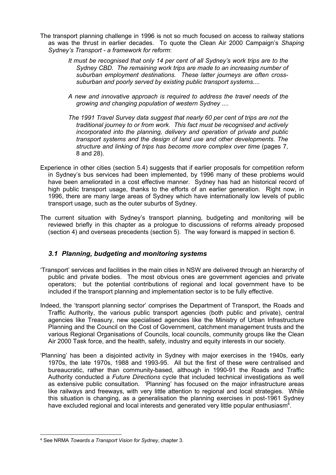- The transport planning challenge in 1996 is not so much focused on access to railway stations as was the thrust in earlier decades. To quote the Clean Air 2000 Campaign's *Shaping Sydney's Transport - a framework for reform*:
	- *It must be recognised that only 14 per cent of all Sydney's work trips are to the Sydney CBD. The remaining work trips are made to an increasing number of suburban employment destinations. These latter journeys are often crosssuburban and poorly served by existing public transport systems....*
	- *A new and innovative approach is required to address the travel needs of the growing and changing population of western Sydney ....*
	- *The 1991 Travel Survey data suggest that nearly 60 per cent of trips are not the traditional journey to or from work. This fact must be recognised and actively incorporated into the planning, delivery and operation of private and public transport systems and the design of land use and other developments. The structure and linking of trips has become more complex over time* (pages 7, 8 and 28).
- Experience in other cities (section 5.4) suggests that if earlier proposals for competition reform in Sydney's bus services had been implemented, by 1996 many of these problems would have been ameliorated in a cost effective manner. Sydney has had an historical record of high public transport usage, thanks to the efforts of an earlier generation. Right now, in 1996, there are many large areas of Sydney which have internationally low levels of public transport usage, such as the outer suburbs of Sydney.
- The current situation with Sydney's transport planning, budgeting and monitoring will be reviewed briefly in this chapter as a prologue to discussions of reforms already proposed (section 4) and overseas precedents (section 5). The way forward is mapped in section 6.

#### *3.1 Planning, budgeting and monitoring systems*

- 'Transport' services and facilities in the main cities in NSW are delivered through an hierarchy of public and private bodies. The most obvious ones are government agencies and private operators; but the potential contributions of regional and local government have to be included if the transport planning and implementation sector is to be fully effective.
- Indeed, the 'transport planning sector' comprises the Department of Transport, the Roads and Traffic Authority, the various public transport agencies (both public and private), central agencies like Treasury, new specialised agencies like the Ministry of Urban Infrastructure Planning and the Council on the Cost of Government, catchment management trusts and the various Regional Organisations of Councils, local councils, community groups like the Clean Air 2000 Task force, and the health, safety, industry and equity interests in our society.
- 'Planning' has been a disjointed activity in Sydney with major exercises in the 1940s, early 1970s, the late 1970s, 1988 and 1993-95. All but the first of these were centralised and bureaucratic, rather than community-based, although in 1990-91 the Roads and Traffic Authority conducted a *Future Directions* cycle that included technical investigations as well as extensive public consultation. 'Planning' has focused on the major infrastructure areas like railways and freeways, with very little attention to regional and local strategies. While this situation is changing, as a generalisation the planning exercises in post-1961 Sydney have excluded regional and local interests and generated very little popular enthusiasm<sup>4</sup>.

 <sup>4</sup> See NRMA *Towards a Transport Vision for Sydney*, chapter 3.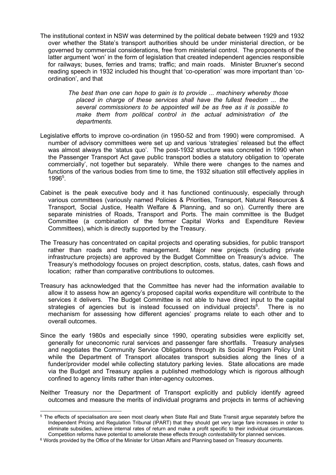The institutional context in NSW was determined by the political debate between 1929 and 1932 over whether the State's transport authorities should be under ministerial direction, or be governed by commercial considerations, free from ministerial control. The proponents of the latter argument 'won' in the form of legislation that created independent agencies responsible for railways; buses, ferries and trams; traffic; and main roads. Minister Bruxner's second reading speech in 1932 included his thought that 'co-operation' was more important than 'coordination', and that

> *The best than one can hope to gain is to provide ... machinery whereby those placed in charge of these services shall have the fullest freedom ... the several commissioners to be appointed will be as free as it is possible to make them from political control in the actual administration of the departments.*

- Legislative efforts to improve co-ordination (in 1950-52 and from 1990) were compromised. A number of advisory committees were set up and various 'strategies' released but the effect was almost always the 'status quo'. The post-1932 structure was concreted in 1990 when the Passenger Transport Act gave public transport bodies a statutory obligation to 'operate commercially', not together but separately. While there were changes to the names and functions of the various bodies from time to time, the 1932 situation still effectively applies in 1996<sup>5</sup>.
- Cabinet is the peak executive body and it has functioned continuously, especially through various committees (variously named Policies & Priorities, Transport, Natural Resources & Transport, Social Justice, Health Welfare & Planning, and so on). Currently there are separate ministries of Roads, Transport and Ports. The main committee is the Budget Committee (a combination of the former Capital Works and Expenditure Review Committees), which is directly supported by the Treasury.
- The Treasury has concentrated on capital projects and operating subsidies, for public transport rather than roads and traffic management. Major new projects (including private infrastructure projects) are approved by the Budget Committee on Treasury's advice. The Treasury's methodology focuses on project description, costs, status, dates, cash flows and location; rather than comparative contributions to outcomes.
- Treasury has acknowledged that the Committee has never had the information available to allow it to assess how an agency's proposed capital works expenditure will contribute to the services it delivers. The Budget Committee is not able to have direct input to the capital strategies of agencies but is instead focussed on individual projects<sup>6</sup>. . There is no mechanism for assessing how different agencies' programs relate to each other and to overall outcomes.
- Since the early 1980s and especially since 1990, operating subsidies were explicitly set, generally for uneconomic rural services and passenger fare shortfalls. Treasury analyses and negotiates the Community Service Obligations through its Social Program Policy Unit while the Department of Transport allocates transport subsidies along the lines of a funder/provider model while collecting statutory parking levies. State allocations are made via the Budget and Treasury applies a published methodology which is rigorous although confined to agency limits rather than inter-agency outcomes.
- Neither Treasury nor the Department of Transport explicitly and publicly identify agreed outcomes and measure the merits of individual programs and projects in terms of achieving

 <sup>5</sup> The effects of specialisation are seen most clearly when State Rail and State Transit argue separately before the Independent Pricing and Regulation Tribunal (IPART) that they should get very large fare increases in order to eliminate subsidies, achieve internal rates of return and make a profit specific to their individual circumstances. Competition reforms have potential to ameliorate these effects through *contestability* for planned services.

<sup>&</sup>lt;sup>6</sup> Words provided by the Office of the Minister for Urban Affairs and Planning based on Treasury documents.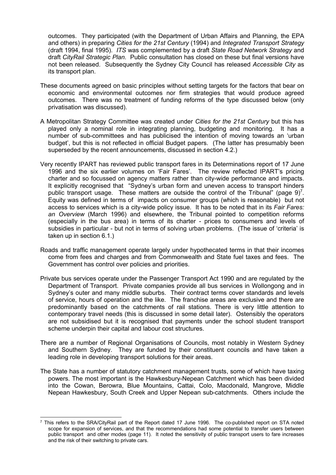outcomes. They participated (with the Department of Urban Affairs and Planning, the EPA and others) in preparing *Cities for the 21st Century* (1994) and *Integrated Transport Strategy* (draft 1994, final 1995). *ITS* was complemented by a draft *State Road Network Strategy* and draft *CityRail Strategic Plan*. Public consultation has closed on these but final versions have not been released. Subsequently the Sydney City Council has released *Accessible City* as its transport plan.

- These documents agreed on basic principles without setting targets for the factors that bear on economic and environmental outcomes nor firm strategies that would produce agreed outcomes. There was no treatment of funding reforms of the type discussed below (only privatisation was discussed).
- A Metropolitan Strategy Committee was created under *Cities for the 21st Century* but this has played only a nominal role in integrating planning, budgeting and monitoring. It has a number of sub-committees and has publicised the intention of moving towards an 'urban budget', but this is not reflected in official Budget papers. (The latter has presumably been superseded by the recent announcements, discussed in section 4.2.)
- Very recently IPART has reviewed public transport fares in its Determinations report of 17 June 1996 and the six earlier volumes on 'Fair Fares'. The review reflected IPART's pricing charter and so focussed on agency matters rather than city-wide performance and impacts. It explicitly recognised that "Sydney's urban form and uneven access to transport hinders public transport usage. These matters are outside the control of the Tribunal" (page  $9$ )<sup>7</sup>. Equity was defined in terms of impacts on consumer groups (which is reasonable) but not access to services which is a city-wide policy issue. It has to be noted that in its *Fair Fares: an Overview* (March 1996) and elsewhere, the Tribunal pointed to competition reforms (especially in the bus area) in terms of its charter - prices to consumers and levels of subsidies in particular - but not in terms of solving urban problems. (The issue of 'criteria' is taken up in section 6.1.)
- Roads and traffic management operate largely under hypothecated terms in that their incomes come from fees and charges and from Commonwealth and State fuel taxes and fees. The Government has control over policies and priorities.
- Private bus services operate under the Passenger Transport Act 1990 and are regulated by the Department of Transport. Private companies provide all bus services in Wollongong and in Sydney's outer and many middle suburbs. Their contract terms cover standards and levels of service, hours of operation and the like. The franchise areas are exclusive and there are predominantly based on the catchments of rail stations. There is very little attention to contemporary travel needs (this is discussed in some detail later). Ostensibly the operators are not subsidised but it is recognised that payments under the school student transport scheme underpin their capital and labour cost structures.
- There are a number of Regional Organisations of Councils, most notably in Western Sydney and Southern Sydney. They are funded by their constituent councils and have taken a leading role in developing transport solutions for their areas.
- The State has a number of statutory catchment management trusts, some of which have taxing powers. The most important is the Hawkesbury-Nepean Catchment which has been divided into the Cowan, Berowra, Blue Mountains, Cattai, Colo, Macdonald, Mangrove, Middle Nepean Hawkesbury, South Creek and Upper Nepean sub-catchments. Others include the

 <sup>7</sup> This refers to the SRA/CityRail part of the Report dated 17 June 1996. The co-published report on STA noted scope for expansion of services, and that the recommendations had some potential to transfer users between public transport and other modes (page 11). It noted the sensitivity of public transport users to fare increases and the risk of their switching to private cars.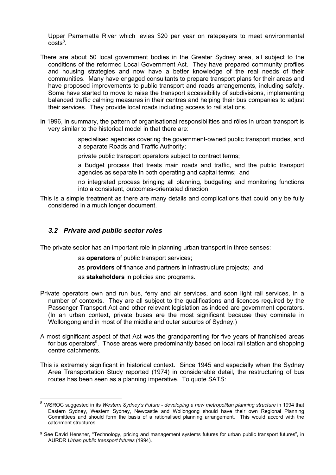Upper Parramatta River which levies \$20 per year on ratepayers to meet environmental  $costs<sup>8</sup>$ .

- There are about 50 local government bodies in the Greater Sydney area, all subject to the conditions of the reformed Local Government Act. They have prepared community profiles and housing strategies and now have a better knowledge of the real needs of their communities. Many have engaged consultants to prepare transport plans for their areas and have proposed improvements to public transport and roads arrangements, including safety. Some have started to move to raise the transport accessibility of subdivisions, implementing balanced traffic calming measures in their centres and helping their bus companies to adjust their services. They provide local roads including access to rail stations.
- In 1996, in summary, the pattern of organisational responsibilities and rôles in urban transport is very similar to the historical model in that there are:

 specialised agencies covering the government-owned public transport modes, and a separate Roads and Traffic Authority;

private public transport operators subject to contract terms;

 a Budget process that treats main roads and traffic, and the public transport agencies as separate in both operating and capital terms; and

 no integrated process bringing all planning, budgeting and monitoring functions into a consistent, outcomes-orientated direction.

This is a simple treatment as there are many details and complications that could only be fully considered in a much longer document.

#### *3.2 Private and public sector roles*

The private sector has an important role in planning urban transport in three senses:

as **operators** of public transport services;

as **providers** of finance and partners in infrastructure projects; and

as **stakeholders** in policies and programs.

- Private operators own and run bus, ferry and air services, and soon light rail services, in a number of contexts. They are all subject to the qualifications and licences required by the Passenger Transport Act and other relevant legislation as indeed are government operators. (In an urban context, private buses are the most significant because they dominate in Wollongong and in most of the middle and outer suburbs of Sydney.)
- A most significant aspect of that Act was the grandparenting for five years of franchised areas for bus operators<sup>9</sup>. Those areas were predominantly based on local rail station and shopping centre catchments.
- This is extremely significant in historical context. Since 1945 and especially when the Sydney Area Transportation Study reported (1974) in considerable detail, the restructuring of bus routes has been seen as a planning imperative. To quote SATS:

 <sup>8</sup> WSROC suggested in its *Western Sydney's Future - developing a new metropolitan planning structure* in 1994 that Eastern Sydney, Western Sydney, Newcastle and Wollongong should have their own Regional Planning Committees and should form the basis of a rationalised planning arrangement. This would accord with the catchment structures.

<sup>9</sup> See David Hensher, "Technology, pricing and management systems futures for urban public transport futures", in AURDR *Urban public transport futures* (1994).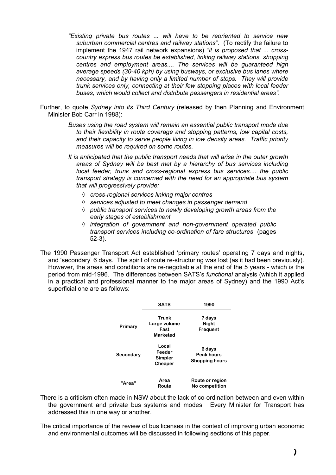- *"Existing private bus routes ... will have to be reoriented to service new suburban commercial centres and railway stations".* (To rectify the failure to implement the 1947 rail network expansions) *"it is proposed that ... crosscountry express bus routes be established, linking railway stations, shopping centres and employment areas.... The services will be guaranteed high average speeds (30-40 kph) by using busways, or exclusive bus lanes where necessary, and by having only a limited number of stops. They will provide trunk services only, connecting at their few stopping places with local feeder buses, which would collect and distribute passengers in residential areas".*
- Further, to quote *Sydney into its Third Century* (released by then Planning and Environment Minister Bob Carr in 1988):
	- *Buses using the road system will remain an essential public transport mode due to their flexibility in route coverage and stopping patterns, low capital costs, and their capacity to serve people living in low density areas. Traffic priority measures will be required on some routes.*
	- *It is anticipated that the public transport needs that will arise in the outer growth areas of Sydney will be best met by a hierarchy of bus services including local feeder, trunk and cross-regional express bus services.... the public transport strategy is concerned with the need for an appropriate bus system that will progressively provide:*
		- à *cross-regional services linking major centres*
		- à *services adjusted to meet changes in passenger demand*
		- à *public transport services to newly developing growth areas from the early stages of establishment*
		- à *integration of government and non-government operated public transport services including co-ordination of fare structures* (pages 52-3).
- The 1990 Passenger Transport Act established 'primary routes' operating 7 days and nights, and 'secondary' 6 days. The spirit of route re-structuring was lost (as it had been previously). However, the areas and conditions are re-negotiable at the end of the 5 years - which is the period from mid-1996. The differences between SATS's *functional* analysis (which it applied in a practical and professional manner to the major areas of Sydney) and the 1990 Act's superficial one are as follows:

|           | <b>SATS</b>                                      | 1990                                          |
|-----------|--------------------------------------------------|-----------------------------------------------|
| Primary   | Trunk<br>Large volume<br>Fast<br><b>Marketed</b> | 7 days<br><b>Night</b><br>Frequent            |
| Secondary | Local<br>Feeder<br>Simpler<br>Cheaper            | 6 days<br>Peak hours<br><b>Shopping hours</b> |
| "Area"    | Area<br>Route                                    | Route or region<br>No competition             |

- There is a criticism often made in NSW about the lack of co-ordination between and even within the government and private bus systems and modes. Every Minister for Transport has addressed this in one way or another.
- The critical importance of the review of bus licenses in the context of improving urban economic and environmental outcomes will be discussed in following sections of this paper.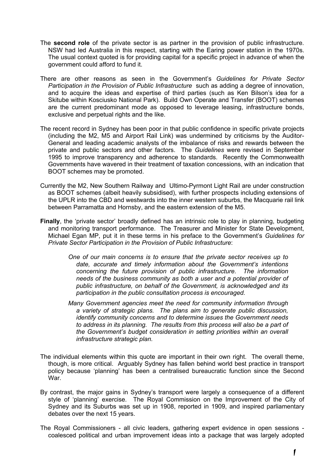- The **second role** of the private sector is as partner in the provision of public infrastructure. NSW had led Australia in this respect, starting with the Earing power station in the 1970s. The usual context quoted is for providing capital for a specific project in advance of when the government could afford to fund it.
- There are other reasons as seen in the Government's *Guidelines for Private Sector Participation in the Provision of Public Infrastructure* such as adding a degree of innovation, and to acquire the ideas and expertise of third parties (such as Ken Bilson's idea for a Skitube within Kosciusko National Park). Build Own Operate and Transfer (BOOT) schemes are the current predominant mode as opposed to leverage leasing, infrastructure bonds, exclusive and perpetual rights and the like.
- The recent record in Sydney has been poor in that public confidence in specific private projects (including the M2, M5 and Airport Rail Link) was undermined by criticisms by the Auditor-General and leading academic analysts of the imbalance of risks and rewards between the private and public sectors and other factors. The *Guidelines* were revised in September 1995 to improve transparency and adherence to standards. Recently the Commonwealth Governments have wavered in their treatment of taxation concessions, with an indication that BOOT schemes may be promoted.
- Currently the M2, New Southern Railway and Ultimo-Pyrmont Light Rail are under construction as BOOT schemes (albeit heavily subsidised), with further prospects including extensions of the UPLR into the CBD and westwards into the inner western suburbs, the Macquarie rail link between Parramatta and Hornsby, and the eastern extension of the M5.
- **Finally**, the 'private sector' broadly defined has an intrinsic role to play in planning, budgeting and monitoring transport performance. The Treasurer and Minister for State Development, Michael Egan MP, put it in these terms in his preface to the Government's *Guidelines for Private Sector Participation in the Provision of Public Infrastructure*:
	- *One of our main concerns is to ensure that the private sector receives up to date, accurate and timely information about the Government's intentions concerning the future provision of public infrastructure. The information needs of the business community as both a user and a potential provider of public infrastructure, on behalf of the Government, is acknowledged and its participation in the public consultation process is encouraged.*
	- *Many Government agencies meet the need for community information through a variety of strategic plans. The plans aim to generate public discussion, identify community concerns and to determine issues the Government needs*  to address in its planning. The results from this process will also be a part of *the Government's budget consideration in setting priorities within an overall infrastructure strategic plan.*
- The individual elements within this quote are important in their own right. The overall theme, though, is more critical. Arguably Sydney has fallen behind world best practice in transport policy because 'planning' has been a centralised bureaucratic function since the Second War.
- By contrast, the major gains in Sydney's transport were largely a consequence of a different style of 'planning' exercise. The Royal Commission on the Improvement of the City of Sydney and its Suburbs was set up in 1908, reported in 1909, and inspired parliamentary debates over the next 15 years.
- The Royal Commissioners all civic leaders, gathering expert evidence in open sessions coalesced political and urban improvement ideas into a package that was largely adopted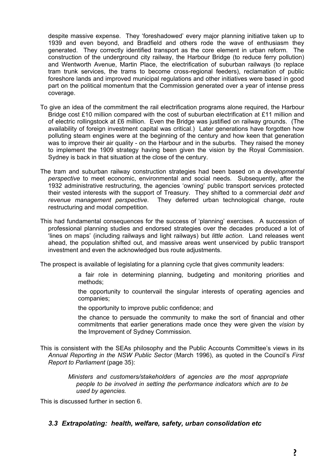despite massive expense. They 'foreshadowed' every major planning initiative taken up to 1939 and even beyond, and Bradfield and others rode the wave of enthusiasm they generated. They correctly identified transport as the core element in urban reform. The construction of the underground city railway, the Harbour Bridge (to reduce ferry pollution) and Wentworth Avenue, Martin Place, the electrification of suburban railways (to replace tram trunk services, the trams to become cross-regional feeders), reclamation of public foreshore lands and improved municipal regulations and other initiatives were based in good part on the political momentum that the Commission generated over a year of intense press coverage.

- To give an idea of the commitment the rail electrification programs alone required, the Harbour Bridge cost £10 million compared with the cost of suburban electrification at £11 million and of electric rollingstock at £6 million. Even the Bridge was justified on railway grounds. (The availability of foreign investment capital was critical.) Later generations have forgotten how polluting steam engines were at the beginning of the century and how keen that generation was to improve their air quality - on the Harbour and in the suburbs. They raised the money to implement the 1909 strategy having been given the vision by the Royal Commission. Sydney is back in that situation at the close of the century.
- The tram and suburban railway construction strategies had been based on a *developmental perspective* to meet economic, environmental and social needs. Subsequently, after the 1932 administrative restructuring, the agencies 'owning' public transport services protected their vested interests with the support of Treasury. They shifted to a commercial *debt and revenue management perspective*. They deferred urban technological change, route restructuring and modal competition.
- This had fundamental consequences for the success of 'planning' exercises. A succession of professional planning studies and endorsed strategies over the decades produced a lot of 'lines on maps' (including railways and light railways) but *little action*. Land releases went ahead, the population shifted out, and massive areas went unserviced by public transport investment and even the acknowledged bus route adjustments.

The prospect is available of legislating for a planning cycle that gives community leaders:

- a fair role in determining planning, budgeting and monitoring priorities and methods;
- the opportunity to countervail the singular interests of operating agencies and companies;
- the opportunity to improve public confidence; and
- the chance to persuade the community to make the sort of financial and other commitments that earlier generations made once they were given the *vision* by the Improvement of Sydney Commission.
- This is consistent with the SEAs philosophy and the Public Accounts Committee's views in its *Annual Reporting in the NSW Public Sector* (March 1996), as quoted in the Council's *First Report to Parliament* (page 35):
	- *Ministers and customers/stakeholders of agencies are the most appropriate people to be involved in setting the performance indicators which are to be used by agencies.*

This is discussed further in section 6.

#### *3.3 Extrapolating: health, welfare, safety, urban consolidation etc*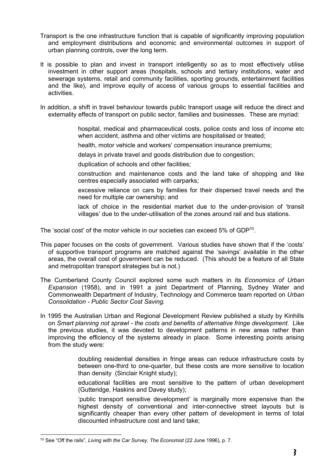- Transport is the one infrastructure function that is capable of significantly improving population and employment distributions and economic and environmental outcomes in support of urban planning controls, over the long term.
- It is possible to plan and invest in transport intelligently so as to most effectively utilise investment in other support areas (hospitals, schools and tertiary institutions, water and sewerage systems, retail and community facilities, sporting grounds, entertainment facilities and the like), and improve equity of access of various groups to essential facilities and activities.
- In addition, a shift in travel behaviour towards public transport usage will reduce the direct and externality effects of transport on public sector, families and businesses. These are myriad:

 hospital, medical and pharmaceutical costs, police costs and loss of income etc when accident, asthma and other victims are hospitalised or treated;

health, motor vehicle and workers' compensation insurance premiums;

delays in private travel and goods distribution due to congestion;

duplication of schools and other facilities;

- construction and maintenance costs and the land take of shopping and like centres especially associated with carparks;
- excessive reliance on cars by families for their dispersed travel needs and the need for multiple car ownership; and
- lack of choice in the residential market due to the under-provision of 'transit villages' due to the under-utilisation of the zones around rail and bus stations.

The 'social cost' of the motor vehicle in our societies can exceed 5% of GDP<sup>10</sup>.

- This paper focuses on the costs of government. Various studies have shown that if the 'costs' of supportive transport programs are matched against the 'savings' available in the other areas, the overall cost of government can be reduced. (This should be a feature of all State and metropolitan transport strategies but is not.)
- The Cumberland County Council explored some such matters in its *Economics of Urban Expansion* (1958), and in 1991 a joint Department of Planning, Sydney Water and Commonwealth Department of Industry, Technology and Commerce team reported on *Urban Consolidation - Public Sector Cost Saving.*
- In 1995 the Australian Urban and Regional Development Review published a study by Kinhills on *Smart planning not sprawl - the costs and benefits of alternative fringe development*. Like the previous studies, it was devoted to development patterns in new areas rather than improving the efficiency of the systems already in place. Some interesting points arising from the study were:

 doubling residential densities in fringe areas can reduce infrastructure costs by between one-third to one-quarter, but these costs are more sensitive to location than density (Sinclair Knight study);

 educational facilities are most sensitive to the pattern of urban development (Gutteridge, Haskins and Davey study);

 'public transport sensitive development' is marginally more expensive than the highest density of conventional and inter-connective street layouts but is significantly cheaper than every other pattern of development in terms of total discounted infrastructure cost and land take;

 <sup>10</sup> See "Off the rails", *Living with the Car Survey, The Economist* (22 June 1996), p. 7.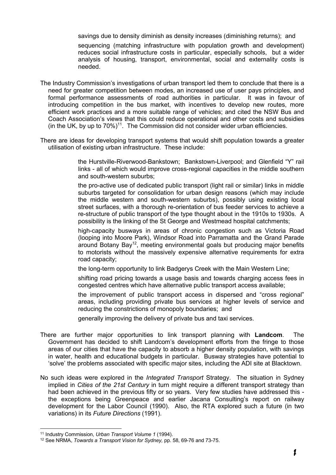savings due to density diminish as density increases (diminishing returns); and

 sequencing (matching infrastructure with population growth and development) reduces social infrastructure costs in particular, especially schools, but a wider analysis of housing, transport, environmental, social and externality costs is needed.

- The Industry Commission's investigations of urban transport led them to conclude that there is a need for greater competition between modes, an increased use of user pays principles, and formal performance assessments of road authorities in particular. It was in favour of introducing competition in the bus market, with incentives to develop new routes, more efficient work practices and a more suitable range of vehicles; and cited the NSW Bus and Coach Association's views that this could reduce operational and other costs and subsidies (in the UK, by up to  $70\%$ )<sup>11</sup>. The Commission did not consider wider urban efficiencies.
- There are ideas for developing transport systems that would shift population towards a greater utilisation of existing urban infrastructure. These include:

 the Hurstville-Riverwood-Bankstown; Bankstown-Liverpool; and Glenfield "Y" rail links - all of which would improve cross-regional capacities in the middle southern and south-western suburbs;

 the pro-active use of dedicated public transport (light rail or similar) links in middle suburbs targeted for consolidation for urban design reasons (which may include the middle western and south-western suburbs), possibly using existing local street surfaces, with a thorough re-orientation of bus feeder services to achieve a re-structure of public transport of the type thought about in the 1910s to 1930s. A possibility is the linking of the St George and Westmead hospital catchments;

 high-capacity busways in areas of chronic congestion such as Victoria Road (looping into Moore Park), Windsor Road into Parramatta and the Grand Parade  $\alpha$  around Botany Bay<sup>12</sup>, meeting environmental goals but producing major benefits to motorists without the massively expensive alternative requirements for extra road capacity;

the long-term opportunity to link Badgerys Creek with the Main Western Line;

 shifting road pricing towards a usage basis and towards charging access fees in congested centres which have alternative public transport access available;

 the improvement of public transport access in dispersed and "cross regional" areas, including providing private bus services at higher levels of service and reducing the constrictions of monopoly boundaries; and

generally improving the delivery of private bus and taxi services.

- There are further major opportunities to link transport planning with **Landcom**. The Government has decided to shift Landcom's development efforts from the fringe to those areas of our cities that have the capacity to absorb a higher density population, with savings in water, health and educational budgets in particular. Busway strategies have potential to 'solve' the problems associated with specific major sites, including the ADI site at Blacktown.
- No such ideas were explored in the *Integrated Transport* Strategy. The situation in Sydney implied in *Cities of the 21st Century* in turn might require a different transport strategy than had been achieved in the previous fifty or so years. Very few studies have addressed this the exceptions being Greenpeace and earlier Jacana Consulting's report on railway development for the Labor Council (1990). Also, the RTA explored such a future (in two variations) in its *Future Directions* (1991).

 <sup>11</sup> Industry Commission, *Urban Transport Volume 1* (1994).

<sup>12</sup> See NRMA, *Towards a Transport Vision for Sydney,* pp. 58, 69-76 and 73-75.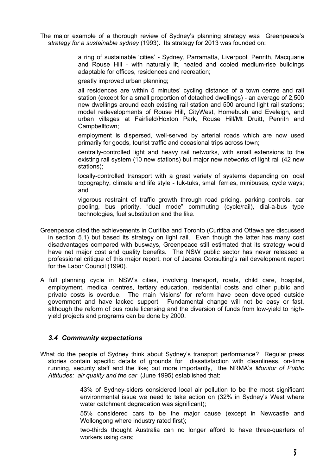The major example of a thorough review of Sydney's planning strategy was Greenpeace's s*trategy for a sustainable sydney* (1993). Its strategy for 2013 was founded on:

> a ring of sustainable 'cities' - Sydney, Parramatta, Liverpool, Penrith, Macquarie and Rouse Hill - with naturally lit, heated and cooled medium-rise buildings adaptable for offices, residences and recreation;

greatly improved urban planning;

 all residences are within 5 minutes' cycling distance of a town centre and rail station (except for a small proportion of detached dwellings) - an average of 2,500 new dwellings around each existing rail station and 500 around light rail stations; model redevelopments of Rouse Hill, CityWest, Homebush and Eveleigh, and urban villages at Fairfield/Hoxton Park, Rouse Hill/Mt Druitt, Penrith and Campbelltown;

 employment is dispersed, well-served by arterial roads which are now used primarily for goods, tourist traffic and occasional trips across town;

 centrally-controlled light and heavy rail networks, with small extensions to the existing rail system (10 new stations) but major new networks of light rail (42 new stations);

 locally-controlled transport with a great variety of systems depending on local topography, climate and life style - tuk-tuks, small ferries, minibuses, cycle ways; and

 vigorous restraint of traffic growth through road pricing, parking controls, car pooling, bus priority, "dual mode" commuting (cycle/rail), dial-a-bus type technologies, fuel substitution and the like.

- Greenpeace cited the achievements in Curitiba and Toronto (Curitiba and Ottawa are discussed in section 5.1) but based its strategy on light rail. Even though the latter has many cost disadvantages compared with busways, Greenpeace still estimated that its strategy would have net major cost and quality benefits. The NSW public sector has never released a professional critique of this major report, nor of Jacana Consulting's rail development report for the Labor Council (1990).
- A full planning cycle in NSW's cities, involving transport, roads, child care, hospital, employment, medical centres, tertiary education, residential costs and other public and private costs is overdue. The main 'visions' for reform have been developed outside government and have lacked support. Fundamental change will not be easy or fast, although the reform of bus route licensing and the diversion of funds from low-yield to highyield projects and programs can be done by 2000.

#### *3.4 Community expectations*

What do the people of Sydney think about Sydney's transport performance? Regular press stories contain specific details of grounds for dissatisfaction with cleanliness, on-time running, security staff and the like; but more importantly, the NRMA's *Monitor of Public Attitudes: air quality and the car* (June 1995) established that:

> 43% of Sydney-siders considered local air pollution to be the most significant environmental issue we need to take action on (32% in Sydney's West where water catchment degradation was significant);

> 55% considered cars to be the major cause (except in Newcastle and Wollongong where industry rated first);

> two-thirds thought Australia can no longer afford to have three-quarters of workers using cars;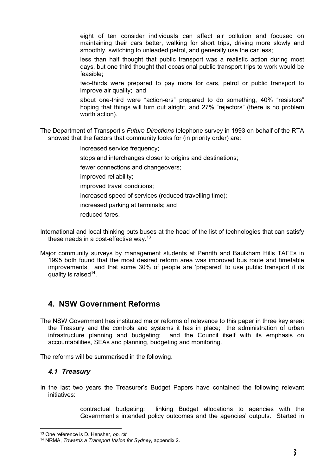eight of ten consider individuals can affect air pollution and focused on maintaining their cars better, walking for short trips, driving more slowly and smoothly, switching to unleaded petrol, and generally use the car less;

 less than half thought that public transport was a realistic action during most days, but one third thought that occasional public transport trips to work would be feasible;

 two-thirds were prepared to pay more for cars, petrol or public transport to improve air quality; and

 about one-third were "action-ers" prepared to do something, 40% "resistors" hoping that things will turn out alright, and 27% "rejectors" (there is no problem worth action).

The Department of Transport's *Future Directions* telephone survey in 1993 on behalf of the RTA showed that the factors that community looks for (in priority order) are:

increased service frequency;

stops and interchanges closer to origins and destinations:

fewer connections and changeovers;

improved reliability;

improved travel conditions;

increased speed of services (reduced travelling time);

increased parking at terminals; and

reduced fares.

International and local thinking puts buses at the head of the list of technologies that can satisfy these needs in a cost-effective way.<sup>13</sup>

Major community surveys by management students at Penrith and Baulkham Hills TAFEs in 1995 both found that the most desired reform area was improved bus route and timetable improvements; and that some 30% of people are 'prepared' to use public transport if its quality is raised<sup>14</sup>.

# **4. NSW Government Reforms**

The NSW Government has instituted major reforms of relevance to this paper in three key area: the Treasury and the controls and systems it has in place; the administration of urban infrastructure planning and budgeting; and the Council itself with its emphasis on accountabilities, SEAs and planning, budgeting and monitoring.

The reforms will be summarised in the following.

#### *4.1 Treasury*

In the last two years the Treasurer's Budget Papers have contained the following relevant initiatives:

> contractual budgeting: linking Budget allocations to agencies with the Government's intended policy outcomes and the agencies' outputs. Started in

 <sup>13</sup> One reference is D. Hensher, *op. cit.*

<sup>14</sup> NRMA, *Towards a Transport Vision for Sydney*, appendix 2.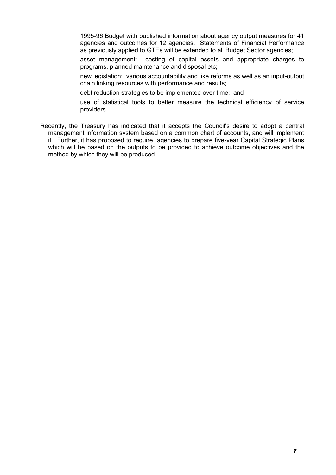1995-96 Budget with published information about agency output measures for 41 agencies and outcomes for 12 agencies. Statements of Financial Performance as previously applied to GTEs will be extended to all Budget Sector agencies;

 asset management: costing of capital assets and appropriate charges to programs, planned maintenance and disposal etc;

 new legislation: various accountability and like reforms as well as an input-output chain linking resources with performance and results;

debt reduction strategies to be implemented over time; and

 use of statistical tools to better measure the technical efficiency of service providers.

Recently, the Treasury has indicated that it accepts the Council's desire to adopt a central management information system based on a common chart of accounts, and will implement it. Further, it has proposed to require agencies to prepare five-year Capital Strategic Plans which will be based on the outputs to be provided to achieve outcome objectives and the method by which they will be produced.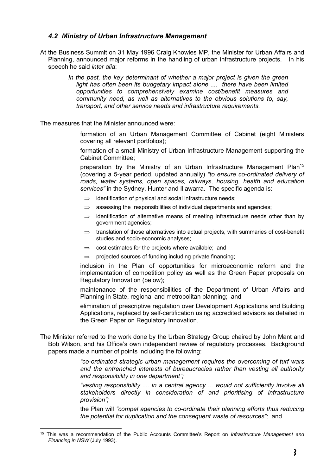#### *4.2 Ministry of Urban Infrastructure Management*

- At the Business Summit on 31 May 1996 Craig Knowles MP, the Minister for Urban Affairs and Planning, announced major reforms in the handling of urban infrastructure projects. In his speech he said *inter alia*:
	- *In the past, the key determinant of whether a major project is given the green* light has often been its budgetary impact alone .... there have been limited *opportunities to comprehensively examine cost/benefit measures and community need, as well as alternatives to the obvious solutions to, say, transport, and other service needs and infrastructure requirements.*

The measures that the Minister announced were:

 formation of an Urban Management Committee of Cabinet (eight Ministers covering all relevant portfolios);

 formation of a small Ministry of Urban Infrastructure Management supporting the Cabinet Committee;

preparation by the Ministry of an Urban Infrastructure Management Plan<sup>15</sup> (covering a 5-year period, updated annually) *"to ensure co-ordinated delivery of roads, water systems, open spaces, railways, housing, health and education services"* in the Sydney, Hunter and Illawarra. The specific agenda is:

- $\Rightarrow$  identification of physical and social infrastructure needs;
- $\Rightarrow$  assessing the responsibilities of individual departments and agencies;
- $\Rightarrow$  identification of alternative means of meeting infrastructure needs other than by government agencies;
- $\Rightarrow$  translation of those alternatives into actual projects, with summaries of cost-benefit studies and socio-economic analyses;
- $\Rightarrow$  cost estimates for the projects where available; and
- $\Rightarrow$  projected sources of funding including private financing:

 inclusion in the Plan of opportunities for microeconomic reform and the implementation of competition policy as well as the Green Paper proposals on Regulatory Innovation (below);

 maintenance of the responsibilities of the Department of Urban Affairs and Planning in State, regional and metropolitan planning; and

 elimination of prescriptive regulation over Development Applications and Building Applications, replaced by self-certification using accredited advisors as detailed in the Green Paper on Regulatory Innovation.

The Minister referred to the work done by the Urban Strategy Group chaired by John Mant and Bob Wilson, and his Office's own independent review of regulatory processes. Background papers made a number of points including the following:

> *"co-ordinated strategic urban management requires the overcoming of turf wars and the entrenched interests of bureaucracies rather than vesting all authority and responsibility in one department";*

> *"vesting responsibility .... in a central agency ... would not sufficiently involve all stakeholders directly in consideration of and prioritising of infrastructure provision";*

> the Plan will *"compel agencies to co-ordinate their planning efforts thus reducing the potential for duplication and the consequent waste of resources";* and

 <sup>15</sup> This was a recommendation of the Public Accounts Committee's Report on *Infrastructure Management and Financing in NSW* (July 1993).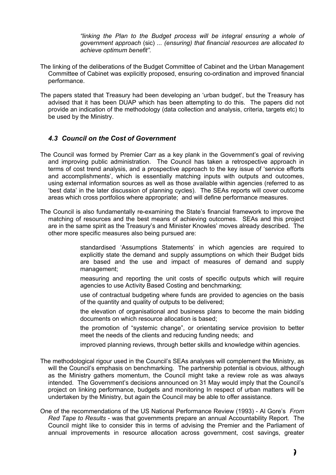*"linking the Plan to the Budget process will be integral ensuring a whole of government approach* (sic) *... (ensuring) that financial resources are allocated to achieve optimum benefit".*

- The linking of the deliberations of the Budget Committee of Cabinet and the Urban Management Committee of Cabinet was explicitly proposed, ensuring co-ordination and improved financial performance.
- The papers stated that Treasury had been developing an 'urban budget', but the Treasury has advised that it has been DUAP which has been attempting to do this. The papers did not provide an indication of the methodology (data collection and analysis, criteria, targets etc) to be used by the Ministry.

#### *4.3 Council on the Cost of Government*

- The Council was formed by Premier Carr as a key plank in the Government's goal of reviving and improving public administration. The Council has taken a retrospective approach in terms of cost trend analysis, and a prospective approach to the key issue of 'service efforts and accomplishments', which is essentially matching inputs with outputs and outcomes, using external information sources as well as those available within agencies (referred to as 'best data' in the later discussion of planning cycles). The SEAs reports will cover outcome areas which cross portfolios where appropriate; and will define performance measures.
- The Council is also fundamentally re-examining the State's financial framework to improve the matching of resources and the best means of achieving outcomes. SEAs and this project are in the same spirit as the Treasury's and Minister Knowles' moves already described. The other more specific measures also being pursued are:
	- standardised 'Assumptions Statements' in which agencies are required to explicitly state the demand and supply assumptions on which their Budget bids are based and the use and impact of measures of demand and supply management;
	- measuring and reporting the unit costs of specific outputs which will require agencies to use Activity Based Costing and benchmarking;
	- use of contractual budgeting where funds are provided to agencies on the basis of the quantity and quality of outputs to be delivered;
	- the elevation of organisational and business plans to become the main bidding documents on which resource allocation is based;
	- the promotion of "systemic change", or orientating service provision to better meet the needs of the clients and reducing funding needs; and
	- improved planning reviews, through better skills and knowledge within agencies.
- The methodological rigour used in the Council's SEAs analyses will complement the Ministry, as will the Council's emphasis on benchmarking. The partnership potential is obvious, although as the Ministry gathers momentum, the Council might take a review role as was always intended. The Government's decisions announced on 31 May would imply that the Council's project on linking performance, budgets and monitoring In respect of urban matters will be undertaken by the Ministry, but again the Council may be able to offer assistance.
- One of the recommendations of the US National Performance Review (1993) Al Gore's *From Red Tape to Results* - was that governments prepare an annual Accountability Report. The Council might like to consider this in terms of advising the Premier and the Parliament of annual improvements in resource allocation across government, cost savings, greater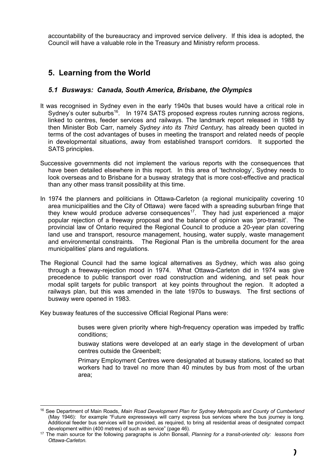accountability of the bureaucracy and improved service delivery. If this idea is adopted, the Council will have a valuable role in the Treasury and Ministry reform process.

# **5. Learning from the World**

#### *5.1 Busways: Canada, South America, Brisbane, the Olympics*

- It was recognised in Sydney even in the early 1940s that buses would have a critical role in Sydney's outer suburbs<sup>16</sup>. In 1974 SATS proposed express routes running across regions, linked to centres, feeder services and railways. The landmark report released in 1988 by then Minister Bob Carr, namely *Sydney into its Third Century,* has already been quoted in terms of the cost advantages of buses in meeting the transport and related needs of people in developmental situations, away from established transport corridors. It supported the SATS principles.
- Successive governments did not implement the various reports with the consequences that have been detailed elsewhere in this report. In this area of 'technology', Sydney needs to look overseas and to Brisbane for a busway strategy that is more cost-effective and practical than any other mass transit possibility at this time.
- In 1974 the planners and politicians in Ottawa-Carleton (a regional municipality covering 10 area municipalities and the City of Ottawa) were faced with a spreading suburban fringe that they knew would produce adverse consequences<sup>17</sup>. They had just experienced a major popular rejection of a freeway proposal and the balance of opinion was 'pro-transit'. The provincial law of Ontario required the Regional Council to produce a 20-year plan covering land use and transport, resource management, housing, water supply, waste management and environmental constraints. The Regional Plan is the umbrella document for the area municipalities' plans and regulations.
- The Regional Council had the same logical alternatives as Sydney, which was also going through a freeway-rejection mood in 1974. What Ottawa-Carleton did in 1974 was give precedence to public transport over road construction and widening, and set peak hour modal split targets for public transport at key points throughout the region. It adopted a railways plan, but this was amended in the late 1970s to busways. The first sections of busway were opened in 1983.

Key busway features of the successive Official Regional Plans were:

 buses were given priority where high-frequency operation was impeded by traffic conditions;

 busway stations were developed at an early stage in the development of urban centres outside the Greenbelt;

 Primary Employment Centres were designated at busway stations, located so that workers had to travel no more than 40 minutes by bus from most of the urban area;

 <sup>16</sup> See Department of Main Roads, *Main Road Development Plan for Sydney Metropolis and County of Cumberland* (May 1946): for example "Future expressways will carry express bus services where the bus journey is long. Additional feeder bus services will be provided, as required, to bring all residential areas of designated compact development within (400 metres) of such as service" (page 46).

<sup>17</sup> The main source for the following paragraphs is John Bonsall, *Planning for a transit-oriented city: lessons from Ottawa-Carleton.*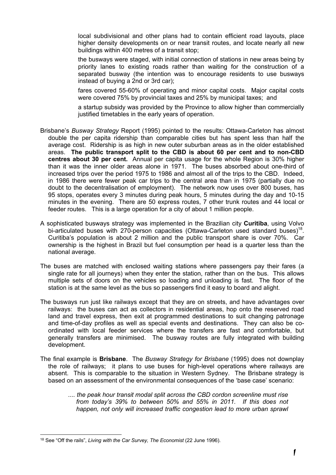local subdivisional and other plans had to contain efficient road layouts, place higher density developments on or near transit routes, and locate nearly all new buildings within 400 metres of a transit stop;

 the busways were staged, with initial connection of stations in new areas being by priority lanes to existing roads rather than waiting for the construction of a separated busway (the intention was to encourage residents to use busways instead of buying a 2nd or 3rd car);

 fares covered 55-60% of operating and minor capital costs. Major capital costs were covered 75% by provincial taxes and 25% by municipal taxes; and

 a startup subsidy was provided by the Province to allow higher than commercially justified timetables in the early years of operation.

- Brisbane's *Busway Strategy* Report (1995) pointed to the results: Ottawa-Carleton has almost double the per capita ridership than comparable cities but has spent less than half the average cost. Ridership is as high in new outer suburban areas as in the older established areas. **The public transport split to the CBD is about 60 per cent and to non-CBD centres about 30 per cent.** Annual per capita usage for the whole Region is 30% higher than it was the inner older areas alone in 1971. The buses absorbed about one-third of increased trips over the period 1975 to 1986 and almost all of the trips to the CBD. Indeed, in 1986 there were fewer peak car trips to the central area than in 1975 (partially due no doubt to the decentralisation of employment). The network now uses over 800 buses, has 95 stops, operates every 3 minutes during peak hours, 5 minutes during the day and 10-15 minutes in the evening. There are 50 express routes, 7 other trunk routes and 44 local or feeder routes. This is a large operation for a city of about 1 million people.
- A sophisticated busways strategy was implemented in the Brazilian city **Curitiba**, using Volvo bi-articulated buses with 270-person capacities (Ottawa-Carleton used standard buses)<sup>18</sup>. Curitiba's population is about 2 million and the public transport share is over 70%. Car ownership is the highest in Brazil but fuel consumption per head is a quarter less than the national average.
- The buses are matched with enclosed waiting stations where passengers pay their fares (a single rate for all journeys) when they enter the station, rather than on the bus. This allows multiple sets of doors on the vehicles so loading and unloading is fast. The floor of the station is at the same level as the bus so passengers find it easy to board and alight.
- The busways run just like railways except that they are on streets, and have advantages over railways: the buses can act as collectors in residential areas, hop onto the reserved road land and travel express, then exit at programmed destinations to suit changing patronage and time-of-day profiles as well as special events and destinations. They can also be coordinated with local feeder services where the transfers are fast and comfortable, but generally transfers are minimised. The busway routes are fully integrated with building development.
- The final example is **Brisbane**. The *Busway Strategy for Brisbane* (1995) does not downplay the role of railways; it plans to use buses for high-level operations where railways are absent. This is comparable to the situation in Western Sydney. The Brisbane strategy is based on an assessment of the environmental consequences of the 'base case' scenario:
	- *.... the peak hour transit modal split across the CBD cordon screenline must rise from today's 39% to between 50% and 55% in 2011. If this does not*  happen, not only will increased traffic congestion lead to more urban sprawl

 <sup>18</sup> See "Off the rails", *Living with the Car Survey, The Economist* (22 June 1996).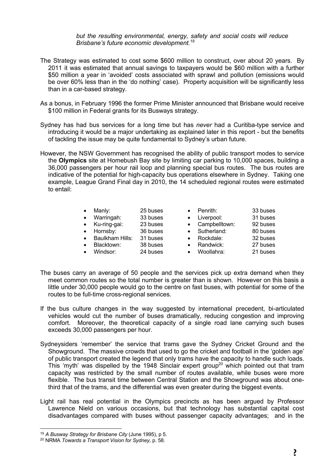*but the resulting environmental, energy, safety and social costs will reduce Brisbane's future economic development.19*

- The Strategy was estimated to cost some \$600 million to construct, over about 20 years. By 2011 it was estimated that annual savings to taxpayers would be \$60 million with a further \$50 million a year in 'avoided' costs associated with sprawl and pollution (emissions would be over 60% less than in the 'do nothing' case). Property acquisition will be significantly less than in a car-based strategy.
- As a bonus, in February 1996 the former Prime Minister announced that Brisbane would receive \$100 million in Federal grants for its Busways strategy.
- Sydney has had bus services for a long time but has *never* had a Curitiba-type service and introducing it would be a major undertaking as explained later in this report - but the benefits of tackling the issue may be quite fundamental to Sydney's urban future.
- However, the NSW Government has recognised the ability of public transport modes to service the **Olympics** site at Homebush Bay site by limiting car parking to 10,000 spaces, building a 36,000 passengers per hour rail loop and planning special bus routes. The bus routes are indicative of the potential for high-capacity bus operations elsewhere in Sydney. Taking one example, League Grand Final day in 2010, the 14 scheduled regional routes were estimated to entail:

|           | Manly:                 | 25 buses |           | Penrith:        | 33 buses |
|-----------|------------------------|----------|-----------|-----------------|----------|
| $\bullet$ | Warringah:             | 33 buses | $\bullet$ | Liverpool:      | 31 buses |
|           | • Ku-ring-gai:         | 23 buses |           | • Campbelltown: | 92 buses |
| $\bullet$ | Hornsby:               | 36 buses |           | Sutherland:     | 80 buses |
| $\bullet$ | <b>Baulkham Hills:</b> | 31 buses |           | Rockdale:       | 32 buses |
|           | Blacktown:             | 38 buses |           | Randwick:       | 27 buses |
|           | Windsor:               | 24 buses |           | Woollahra:      | 21 buses |

- The buses carry an average of 50 people and the services pick up extra demand when they meet common routes so the total number is greater than is shown. However on this basis a little under 30,000 people would go to the centre on fast buses, with potential for some of the routes to be full-time cross-regional services.
- If the bus culture changes in the way suggested by international precedent, bi-articulated vehicles would cut the number of buses dramatically, reducing congestion and improving comfort. Moreover, the theoretical capacity of a single road lane carrying such buses exceeds 30,000 passengers per hour.
- Sydneysiders 'remember' the service that trams gave the Sydney Cricket Ground and the Showground. The massive crowds that used to go the cricket and football in the 'golden age' of public transport created the legend that only trams have the capacity to handle such loads. This 'myth' was dispelled by the 1948 Sinclair expert group<sup>20</sup> which pointed out that tram capacity was restricted by the small number of routes available, while buses were more flexible. The bus transit time between Central Station and the Showground was about onethird that of the trams, and the differential was even greater during the biggest events.
- Light rail has real potential in the Olympics precincts as has been argued by Professor Lawrence Nield on various occasions, but that technology has substantial capital cost disadvantages compared with buses without passenger capacity advantages; and in the

 <sup>19</sup> *A Busway Strategy for Brisbane City* (June 1995), p 5.

<sup>20</sup> NRMA *Towards a Transport Vision for Sydney,* p. 58.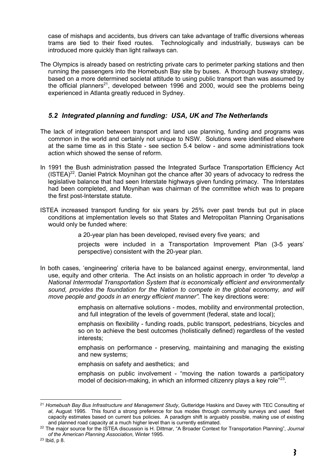case of mishaps and accidents, bus drivers can take advantage of traffic diversions whereas trams are tied to their fixed routes. Technologically and industrially, busways can be introduced more quickly than light railways can.

The Olympics is already based on restricting private cars to perimeter parking stations and then running the passengers into the Homebush Bay site by buses. A thorough busway strategy, based on a more determined societal attitude to using public transport than was assumed by the official planners<sup>21</sup>, developed between 1996 and 2000, would see the problems being experienced in Atlanta greatly reduced in Sydney.

#### *5.2 Integrated planning and funding: USA, UK and The Netherlands*

- The lack of integration between transport and land use planning, funding and programs was common in the world and certainly not unique to NSW. Solutions were identified elsewhere at the same time as in this State - see section 5.4 below - and some administrations took action which showed the sense of reform.
- In 1991 the Bush administration passed the Integrated Surface Transportation Efficiency Act  $(ISTEA)^{22}$ . Daniel Patrick Moynihan got the chance after 30 years of advocacy to redress the legislative balance that had seen Interstate highways given funding primacy. The Interstates had been completed, and Moynihan was chairman of the committee which was to prepare the first post-Interstate statute.
- ISTEA increased transport funding for six years by 25% over past trends but put in place conditions at implementation levels so that States and Metropolitan Planning Organisations would only be funded where:
	- a 20-year plan has been developed, revised every five years; and

 projects were included in a Transportation Improvement Plan (3-5 years' perspective) consistent with the 20-year plan.

In both cases, 'engineering' criteria have to be balanced against energy, environmental, land use, equity and other criteria. The Act insists on an holistic approach in order *"to develop a National Intermodal Transportation System that is economically efficient and environmentally*  sound, provides the foundation for the Nation to compete in the global economy, and will *move people and goods in an energy efficient manner".* The key directions were:

> emphasis on alternative solutions - modes, mobility and environmental protection, and full integration of the levels of government (federal, state and local);

> emphasis on flexibility - funding roads, public transport, pedestrians, bicycles and so on to achieve the best outcomes (holistically defined) regardless of the vested interests;

> emphasis on performance - preserving, maintaining and managing the existing and new systems;

emphasis on safety and aesthetics; and

emphasis on public involvement - "moving the nation towards a participatory model of decision-making, in which an informed citizenry plays a key role<sup>"23</sup>.

 <sup>21</sup> *Homebush Bay Bus Infrastructure and Management Study*, Gutteridge Haskins and Davey with TEC Consulting *et al*, August 1995. This found a strong preference for bus modes through community surveys and used fleet capacity estimates based on current bus policies. A paradigm shift is arguably possible, making use of existing and planned road capacity at a much higher level than is currently estimated.

<sup>22</sup> The major source for the ISTEA discussion is H. Dittmar, "A Broader Context for Transportation Planning", *Journal of the American Planning Association,* Winter 1995.

<sup>23</sup> Ibid, p 8.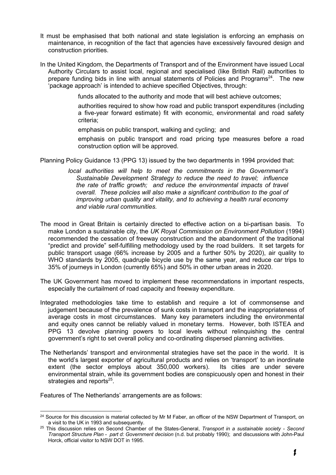- It must be emphasised that both national and state legislation is enforcing an emphasis on maintenance, in recognition of the fact that agencies have excessively favoured design and construction priorities.
- In the United Kingdom, the Departments of Transport and of the Environment have issued Local Authority Circulars to assist local, regional and specialised (like British Rail) authorities to prepare funding bids in line with annual statements of Policies and Programs<sup>24</sup>. The new 'package approach' is intended to achieve specified Objectives, through:

funds allocated to the authority and mode that will best achieve outcomes;

 authorities required to show how road and public transport expenditures (including a five-year forward estimate) fit with economic, environmental and road safety criteria;

emphasis on public transport, walking and cycling; and

 emphasis on public transport and road pricing type measures before a road construction option will be approved.

Planning Policy Guidance 13 (PPG 13) issued by the two departments in 1994 provided that:

- *local authorities will help to meet the commitments in the Government's Sustainable Development Strategy to reduce the need to travel; influence the rate of traffic growth; and reduce the environmental impacts of travel overall. These policies will also make a significant contribution to the goal of improving urban quality and vitality, and to achieving a health rural economy and viable rural communities.*
- The mood in Great Britain is certainly directed to effective action on a bi-partisan basis. To make London a sustainable city, the *UK Royal Commission on Environment Pollution* (1994) recommended the cessation of freeway construction and the abandonment of the traditional "predict and provide" self-fulfilling methodology used by the road builders. It set targets for public transport usage (66% increase by 2005 and a further 50% by 2020), air quality to WHO standards by 2005, quadruple bicycle use by the same year, and reduce car trips to 35% of journeys in London (currently 65%) and 50% in other urban areas in 2020.
- The UK Government has moved to implement these recommendations in important respects, especially the curtailment of road capacity and freeway expenditure.
- Integrated methodologies take time to establish and require a lot of commonsense and judgement because of the prevalence of sunk costs in transport and the inappropriateness of average costs in most circumstances. Many key parameters including the environmental and equity ones cannot be reliably valued in monetary terms. However, both ISTEA and PPG 13 devolve planning powers to local levels without relinquishing the central government's right to set overall policy and co-ordinating dispersed planning activities.
- The Netherlands' transport and environmental strategies have set the pace in the world. It is the world's largest exporter of agricultural products and relies on 'transport' to an inordinate extent (the sector employs about 350,000 workers). Its cities are under severe environmental strain, while its government bodies are conspicuously open and honest in their strategies and reports $^{25}$ .

Features of The Netherlands' arrangements are as follows:

<sup>&</sup>lt;sup>24</sup> Source for this discussion is material collected by Mr M Faber, an officer of the NSW Department of Transport, on a visit to the UK in 1993 and subsequently.

<sup>25</sup> This discussion relies on Second Chamber of the States-General, *Transport in a sustainable society - Second Transport Structure Plan - part d: Government decision* (n.d. but probably 1990); and discussions with John-Paul Horck, official visitor to NSW DOT in 1995.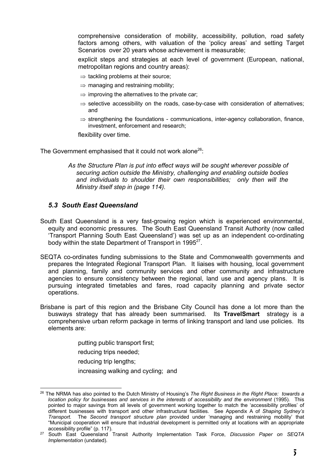comprehensive consideration of mobility, accessibility, pollution, road safety factors among others, with valuation of the 'policy areas' and setting Target Scenarios over 20 years whose achievement is measurable;

 explicit steps and strategies at each level of government (European, national, metropolitan regions and country areas):

- $\Rightarrow$  tackling problems at their source;
- $\Rightarrow$  managing and restraining mobility:
- $\Rightarrow$  improving the alternatives to the private car;
- $\Rightarrow$  selective accessibility on the roads, case-by-case with consideration of alternatives; and
- $\Rightarrow$  strengthening the foundations communications, inter-agency collaboration, finance, investment, enforcement and research;

flexibility over time.

The Government emphasised that it could not work alone<sup>26</sup>:

*As the Structure Plan is put into effect ways will be sought wherever possible of securing action outside the Ministry, challenging and enabling outside bodies and individuals to shoulder their own responsibilities; only then will the Ministry itself step in (page 114).*

#### *5.3 South East Queensland*

- South East Queensland is a very fast-growing region which is experienced environmental, equity and economic pressures. The South East Queensland Transit Authority (now called 'Transport Planning South East Queensland') was set up as an independent co-ordinating body within the state Department of Transport in 1995<sup>27</sup>.
- SEQTA co-ordinates funding submissions to the State and Commonwealth governments and prepares the Integrated Regional Transport Plan. It liaises with housing, local government and planning, family and community services and other community and infrastructure agencies to ensure consistency between the regional, land use and agency plans. It is pursuing integrated timetables and fares, road capacity planning and private sector operations.
- Brisbane is part of this region and the Brisbane City Council has done a lot more than the busways strategy that has already been summarised. Its **TravelSmart** strategy is a comprehensive urban reform package in terms of linking transport and land use policies. Its elements are:

putting public transport first;

reducing trips needed;

reducing trip lengths;

increasing walking and cycling; and

 <sup>26</sup> The NRMA has also pointed to the Dutch Ministry of Housing's *The Right Business in the Right Place: towards a location policy for businesses and services in the interests of accessibility and the environment* (1995). This pointed to major savings from all levels of government working together to match the 'accessibility profiles' of different businesses with transport and other infrastructural facilities. See Appendix A of *Shaping Sydney's Transport.* The *Second transport structure plan* provided under 'managing and restraining mobility' that "Municipal cooperation will ensure that industrial development is permitted only at locations with an appropriate accessibility profile" (p. 117).

<sup>27</sup> South East Queensland Transit Authority Implementation Task Force, *Discussion Paper on SEQTA Implementation* (undated).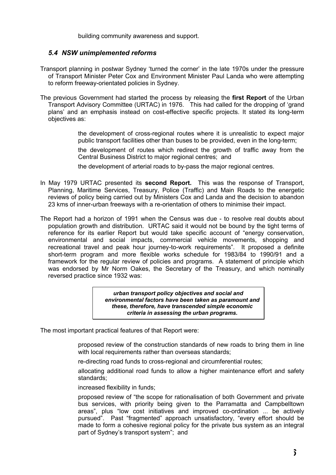building community awareness and support.

#### *5.4 NSW unimplemented reforms*

- Transport planning in postwar Sydney 'turned the corner' in the late 1970s under the pressure of Transport Minister Peter Cox and Environment Minister Paul Landa who were attempting to reform freeway-orientated policies in Sydney.
- The previous Government had started the process by releasing the **first Report** of the Urban Transport Advisory Committee (URTAC) in 1976. This had called for the dropping of 'grand plans' and an emphasis instead on cost-effective specific projects. It stated its long-term objectives as:

 the development of cross-regional routes where it is unrealistic to expect major public transport facilities other than buses to be provided, even in the long-term;

 the development of routes which redirect the growth of traffic away from the Central Business District to major regional centres; and

the development of arterial roads to by-pass the major regional centres.

- In May 1979 URTAC presented its **second Report.** This was the response of Transport, Planning, Maritime Services, Treasury, Police (Traffic) and Main Roads to the energetic reviews of policy being carried out by Ministers Cox and Landa and the decision to abandon 23 kms of inner-urban freeways with a re-orientation of others to minimise their impact.
- The Report had a horizon of 1991 when the Census was due to resolve real doubts about population growth and distribution. URTAC said it would not be bound by the tight terms of reference for its earlier Report but would take specific account of "energy conservation, environmental and social impacts, commercial vehicle movements, shopping and recreational travel and peak hour journey-to-work requirements". It proposed a definite short-term program and more flexible works schedule for 1983/84 to 1990/91 and a framework for the regular review of policies and programs. A statement of principle which was endorsed by Mr Norm Oakes, the Secretary of the Treasury, and which nominally reversed practice since 1932 was:

*urban transport policy objectives and social and environmental factors have been taken as paramount and these, therefore, have transcended simple economic criteria in assessing the urban programs.*

The most important practical features of that Report were:

 proposed review of the construction standards of new roads to bring them in line with local requirements rather than overseas standards;

re-directing road funds to cross-regional and circumferential routes;

 allocating additional road funds to allow a higher maintenance effort and safety standards;

increased flexibility in funds;

 proposed review of "the scope for rationalisation of both Government and private bus services, with priority being given to the Parramatta and Campbelltown areas", plus "low cost initiatives and improved co-ordination ... be actively pursued". Past "fragmented" approach unsatisfactory, "every effort should be made to form a cohesive regional policy for the private bus system as an integral part of Sydney's transport system"; and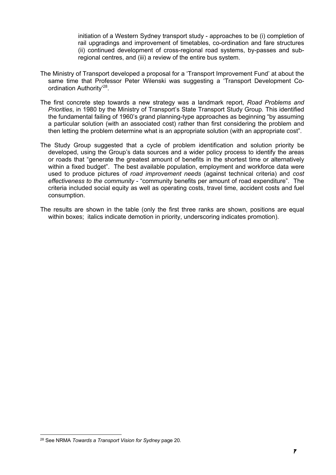initiation of a Western Sydney transport study - approaches to be (i) completion of rail upgradings and improvement of timetables, co-ordination and fare structures (ii) continued development of cross-regional road systems, by-passes and subregional centres, and (iii) a review of the entire bus system.

- The Ministry of Transport developed a proposal for a 'Transport Improvement Fund' at about the same time that Professor Peter Wilenski was suggesting a 'Transport Development Coordination Authority'28.
- The first concrete step towards a new strategy was a landmark report, *Road Problems and Priorities*, in 1980 by the Ministry of Transport's State Transport Study Group*.* This identified the fundamental failing of 1960's grand planning-type approaches as beginning "by assuming a particular solution (with an associated cost) rather than first considering the problem and then letting the problem determine what is an appropriate solution (with an appropriate cost".
- The Study Group suggested that a cycle of problem identification and solution priority be developed, using the Group's data sources and a wider policy process to identify the areas or roads that "generate the greatest amount of benefits in the shortest time or alternatively within a fixed budget". The best available population, employment and workforce data were used to produce pictures of *road improvement needs* (against technical criteria) and *cost effectiveness to the community* - "community benefits per amount of road expenditure". The criteria included social equity as well as operating costs, travel time, accident costs and fuel consumption.
- The results are shown in the table (only the first three ranks are shown, positions are equal within boxes; italics indicate demotion in priority, underscoring indicates promotion).

 <sup>28</sup> See NRMA *Towards a Transport Vision for Sydney* page 20.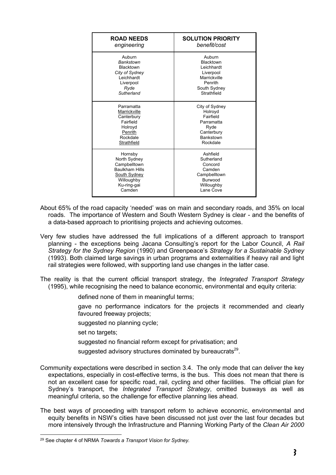| <b>ROAD NEEDS</b>     | <b>SOLUTION PRIORITY</b> |
|-----------------------|--------------------------|
| engineering           | benefit/cost             |
| Auburn                | Auburn                   |
| <b>Bankstown</b>      | <b>Blacktown</b>         |
| <b>Blacktown</b>      | Leichhardt               |
| City of Sydney        | Liverpool                |
| Leichhardt            | Marrickville             |
| Liverpool             | Penrith                  |
| Ryde                  | South Sydney             |
| Sutherland            | Strathfield              |
| Parramatta            | City of Sydney           |
| Marrickville          | Holroyd                  |
| Canterbury            | Fairfield                |
| Fairfield             | Parramatta               |
| Holroyd               | Ryde                     |
| Penrith               | Canterbury               |
| Rockdale              | Bankstown                |
| Strathfield           | Rockdale                 |
| Hornsby               | Ashfield                 |
| North Sydney          | Sutherland               |
| Campbelltown          | Concord                  |
| <b>Baulkham Hills</b> | Camden                   |
| <b>South Sydney</b>   | Campbelltown             |
| Willoughby            | Burwood                  |
| Ku-ring-gai           | Willoughby               |
| Camden                | Lane Cove                |

- About 65% of the road capacity 'needed' was on main and secondary roads, and 35% on local roads. The importance of Western and South Western Sydney is clear - and the benefits of a data-based approach to prioritising projects and achieving outcomes.
- Very few studies have addressed the full implications of a different approach to transport planning - the exceptions being Jacana Consulting's report for the Labor Council, *A Rail Strategy for the Sydney Region* (1990) and Greenpeace's *Strategy for a Sustainable Sydney* (1993). Both claimed large savings in urban programs and externalities if heavy rail and light rail strategies were followed, with supporting land use changes in the latter case.
- The reality is that the current official transport strategy, the *Integrated Transport Strategy* (1995), while recognising the need to balance economic, environmental and equity criteria:
	- defined none of them in meaningful terms;
	- gave no performance indicators for the projects it recommended and clearly favoured freeway projects;
	- suggested no planning cycle;
	- set no targets;
	- suggested no financial reform except for privatisation; and
	- suggested advisory structures dominated by bureaucrats<sup>29</sup>.
- Community expectations were described in section 3.4. The only mode that can deliver the key expectations, especially in cost-effective terms, is the bus. This does not mean that there is not an excellent case for specific road, rail, cycling and other facilities. The official plan for Sydney's transport, the *Integrated Transport Strategy*, omitted busways as well as meaningful criteria, so the challenge for effective planning lies ahead.
- The best ways of proceeding with transport reform to achieve economic, environmental and equity benefits in NSW's cities have been discussed not just over the last four decades but more intensively through the Infrastructure and Planning Working Party of the *Clean Air 2000*

 <sup>29</sup> See chapter 4 of NRMA *Towards a Transport Vision for Sydney.*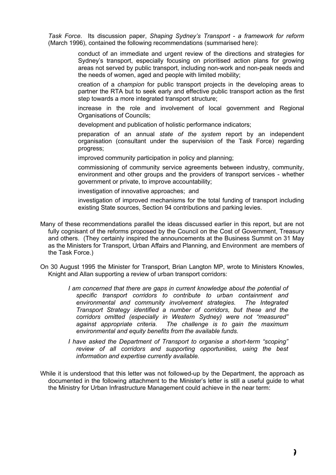*Task Force*. Its discussion paper, *Shaping Sydney's Transport - a framework for reform*  (March 1996), contained the following recommendations (summarised here):

> conduct of an immediate and urgent review of the directions and strategies for Sydney's transport, especially focusing on prioritised action plans for growing areas not served by public transport, including non-work and non-peak needs and the needs of women, aged and people with limited mobility;

> creation of a *champion* for public transport projects in the developing areas to partner the RTA but to seek early and effective public transport action as the first step towards a more integrated transport structure;

> increase in the role and involvement of local government and Regional Organisations of Councils;

development and publication of holistic performance indicators;

 preparation of an annual *state of the system* report by an independent organisation (consultant under the supervision of the Task Force) regarding progress;

improved community participation in policy and planning;

 commissioning of community service agreements between industry, community, environment and other groups and the providers of transport services - whether government or private, to improve accountability;

investigation of innovative approaches; and

 investigation of improved mechanisms for the total funding of transport including existing State sources, Section 94 contributions and parking levies.

- Many of these recommendations parallel the ideas discussed earlier in this report, but are not fully cognisant of the reforms proposed by the Council on the Cost of Government, Treasury and others. (They certainly inspired the announcements at the Business Summit on 31 May as the Ministers for Transport, Urban Affairs and Planning, and Environment are members of the Task Force.)
- On 30 August 1995 the Minister for Transport, Brian Langton MP, wrote to Ministers Knowles, Knight and Allan supporting a review of urban transport corridors:
	- *I am concerned that there are gaps in current knowledge about the potential of specific transport corridors to contribute to urban containment and environmental and community involvement strategies. The Integrated Transport Strategy identified a number of corridors, but these and the corridors omitted (especially in Western Sydney) were not "measured"*  The challenge is to gain the maximum *environmental and equity benefits from the available funds.*
	- *I have asked the Department of Transport to organise a short-term "scoping" review of all corridors and supporting opportunities, using the best information and expertise currently available.*
- While it is understood that this letter was not followed-up by the Department, the approach as documented in the following attachment to the Minister's letter is still a useful guide to what the Ministry for Urban Infrastructure Management could achieve in the near term: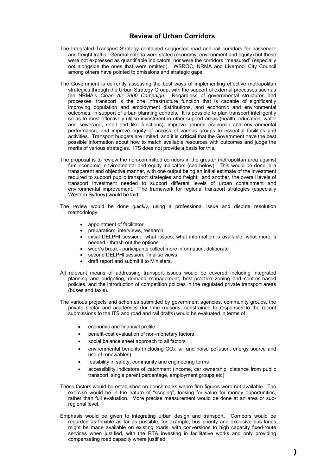#### **Review of Urban Corridors**

- The Integrated Transport Strategy contained suggested road and rail corridors for passenger and freight traffic. General criteria were stated (economy, environment and equity) but these were not expressed as quantifiable indicators, nor were the corridors "measured" (especially not alongside the ones that were omitted). WSROC, NRMA and Liverpool City Council among others have pointed to omissions and strategic gaps.
- The Government is currently assessing the best ways of implementing effective metropolitan strategies through the Urban Strategy Group, with the support of external processes such as the NRMA's *Clean Air 2000 Campaign*. Regardless of governmental structures and processes, transport is the one infrastructure function that is capable of significantly improving population and employment distributions, and economic and environmental outcomes, in support of urban planning controls. It is possible to plan transport intelligently so as to most effectively utilise investment in other support areas (health, education, water and sewerage, retail and like functions), improve general economic and environmental performance, and improve equity of access of various groups to essential facilities and activities. Transport budgets are limited, and it is **critical** that the Government have the best possible information about how to match available resources with outcomes and judge the merits of various strategies. ITS does not provide a basis for this.
- The proposal is to review the non-committed corridors in the greater metropolitan area against firm economic, environmental and equity indicators (see below). This would be done in a transparent and objective manner, with one output being an initial estimate of the investment required to support public transport strategies and freight; and another, the overall levels of transport investment needed to support different levels of urban containment and environmental improvement. The framework for regional transport strategies (especially Western Sydney) would be laid.
- The review would be done *quickly,* using a professional issue and dispute resolution methodology:
	- appointment of facilitator
	- preparation: interviews, research
	- initial DELPHI session: what issues, what information is available, what more is needed - thrash out the options
	- week's break participants collect more information, deliberate
	- second DELPHI session: finalise views
	- draft report and submit it to Ministers.
- All relevant means of addressing transport issues would be covered including integrated planning and budgeting, demand management, best-practice zoning and centres-based policies, and the introduction of competition policies in the regulated private transport areas (buses and taxis).
- The various projects and schemes submitted by government agencies, community groups, the private sector and academics (for time reasons, constrained to responses to the recent submissions to the ITS and road and rail drafts) would be evaluated in terms of
	- economic and financial profile
	- benefit-cost evaluation of non-monetary factors
	- social balance sheet approach to all factors
	- environmental benefits (including  $CO<sub>2</sub>$ , air and noise pollution, energy source and use of renewables)
	- feasibility in safety, community and engineering terms
	- accessibility indicators of catchment (income, car ownership, distance from public transport, single parent percentage, employment groups etc)
- These factors would be established on benchmarks where firm figures were not available. The exercise would be in the nature of "scoping", looking for value for money opportunities, rather than full evaluation. More precise measurement would be done at an area or subregional level.
- Emphasis would be given to integrating urban design and transport. Corridors would be regarded as flexible as far as possible, for example, bus priority and exclusive bus lanes might be made available on existing roads, with conversions to high capacity fixed-route services when justified, with the RTA investing in facilitative works and only providing compensating road capacity where justified.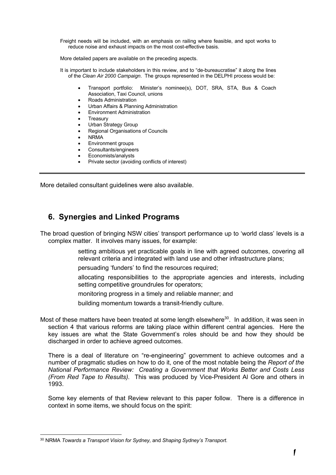Freight needs will be included, with an emphasis on railing where feasible, and spot works to reduce noise and exhaust impacts on the most cost-effective basis.

More detailed papers are available on the preceding aspects.

It is important to include stakeholders in this review, and to "de-bureaucratise" it along the lines of the *Clean Air 2000 Campaign*. The groups represented in the DELPHI process would be:

- Transport portfolio: Minister's nominee(s), DOT, SRA, STA, Bus & Coach Association, Taxi Council, unions
- Roads Administration
- Urban Affairs & Planning Administration
- Environment Administration
- **Treasury**
- Urban Strategy Group
- Regional Organisations of Councils
- NRMA
- Environment groups
- Consultants/engineers
- Economists/analysts
- Private sector (avoiding conflicts of interest)

More detailed consultant guidelines were also available.

# **6. Synergies and Linked Programs**

The broad question of bringing NSW cities' transport performance up to 'world class' levels is a complex matter. It involves many issues, for example:

- setting ambitious yet practicable goals in line with agreed outcomes, covering all relevant criteria and integrated with land use and other infrastructure plans;
- persuading 'funders' to find the resources required;
- allocating responsibilities to the appropriate agencies and interests, including setting competitive groundrules for operators;
- monitoring progress in a timely and reliable manner; and
- building momentum towards a transit-friendly culture.

Most of these matters have been treated at some length elsewhere<sup>30</sup>. In addition, it was seen in section 4 that various reforms are taking place within different central agencies. Here the key issues are what the State Government's roles should be and how they should be discharged in order to achieve agreed outcomes.

There is a deal of literature on "re-engineering" government to achieve outcomes and a number of pragmatic studies on how to do it, one of the most notable being the *Report of the National Performance Review: Creating a Government that Works Better and Costs Less (From Red Tape to Results).* This was produced by Vice-President Al Gore and others in 1993.

Some key elements of that Review relevant to this paper follow. There is a difference in context in some items, we should focus on the spirit:

 <sup>30</sup> NRMA *Towards a Transport Vision for Sydney,* and *Shaping Sydney's Transport.*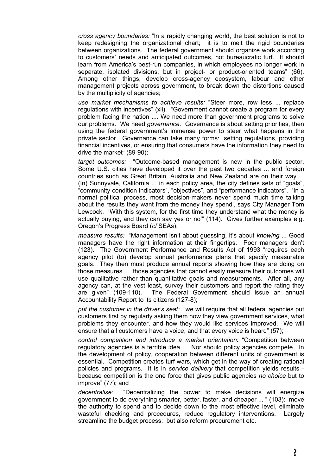*cross agency boundaries:* "In a rapidly changing world, the best solution is not to keep redesigning the organizational chart; it is to melt the rigid boundaries between organizations. The federal government should organize work according to customers' needs and anticipated outcomes, not bureaucratic turf. It should learn from America's best-run companies, in which employees no longer work in separate, isolated divisions, but in project- or product-oriented teams" (66). Among other things, develop cross-agency ecosystem, labour and other management projects across government, to break down the distortions caused by the multiplicity of agencies;

 *use market mechanisms to achieve results:* "Steer more, row less ... replace regulations with incentives" (xli). "Government cannot create a program for every problem facing the nation .... We need more than government programs to solve our problems. We need *governance.* Governance is about setting priorities, then using the federal government's immense power to steer what happens in the private sector. Governance can take many forms: setting regulations, providing financial incentives, or ensuring that consumers have the information they need to drive the market" (89-90);

 *target outcomes:* "Outcome-based management is new in the public sector. Some U.S. cities have developed it over the past two decades ... and foreign countries such as Great Britain, Australia and New Zealand are on their way ... (In) Sunnyvale, California ... in each policy area, the city defines sets of "goals", "community condition indicators", "objectives", and "performance indicators". 'In a normal political process, most decision-makers never spend much time talking about the results they want from the money they spend', says City Manager Tom Lewcock. 'With this system, for the first time they understand what the money is actually buying, and they can say yes or no'" (114). Gives further examples e.g. Oregon's Progress Board (*cf* SEAs);

 *measure results:* "Management isn't about guessing, it's about *knowing* ... Good managers have the right information at their fingertips. Poor managers don't (123). The Government Performance and Results Act of 1993 "requires each agency pilot (to) develop annual performance plans that specify measurable goals. They then must produce annual reports showing how they are doing on those measures ... those agencies that cannot easily measure their outcomes will use qualitative rather than quantitative goals and measurements. After all, any agency can, at the vest least, survey their customers and report the rating they are given" (109-110). The Federal Government should issue an annual Accountability Report to its citizens (127-8);

 *put the customer in the driver's seat:* "we will require that all federal agencies put customers first by regularly asking them how they view government services, what problems they encounter, and how they would like services improved. We will ensure that all customers have a voice, and that every voice is heard" (57);

 *control competition and introduce a market orientation:* "Competition between regulatory agencies is a terrible idea .... Nor should policy agencies compete. In the development of policy, cooperation between different units of government is essential. Competition creates turf wars, which get in the way of creating rational policies and programs. It is in *service delivery* that competition yields results because competition is the one force that gives public agencies *no choice* but to improve" (77); and

 *decentralise:* "Decentralizing the power to make decisions will energize government to do everything smarter, better, faster, and cheaper ... " (103): move the authority to spend and to decide down to the most effective level, eliminate wasteful checking and procedures, reduce regulatory interventions. Largely streamline the budget process; but also reform procurement etc.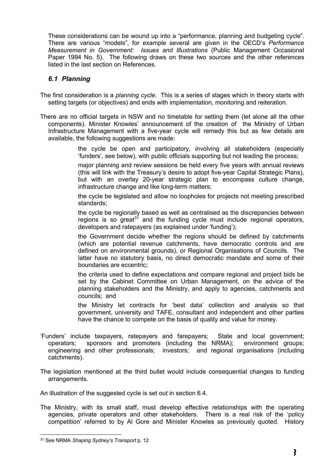These considerations can be wound up into a "performance, planning and budgeting cycle". There are various "models", for example several are given in the OECD's *Performance Measurement in Government: Issues and Illustrations* (Public Management Occasional Paper 1994 No. 5). The following draws on these two sources and the other references listed in the last section on References.

#### *6.1 Planning*

- The first consideration is a *planning cycle*. This is a series of stages which in theory starts with setting targets (or objectives) and ends with implementation, monitoring and reiteration.
- There are no official targets in NSW and no timetable for setting them (let alone all the other components). Minister Knowles' announcement of the creation of the Ministry of Urban Infrastructure Management with a five-year cycle will remedy this but as few details are available, the following suggestions are made:
	- the cycle be open and participatory, involving all stakeholders (especially 'funders', see below), with public officials supporting but not leading the process;
	- major planning and review sessions be held every five years with annual reviews (this will link with the Treasury's desire to adopt five-year Capital Strategic Plans), but with an overlay 20-year strategic plan to encompass culture change, infrastructure change and like long-term matters;
	- the cycle be legislated and allow no loopholes for projects not meeting prescribed standards;
	- the cycle be regionally based as well as centralised as the discrepancies between regions is so great<sup>31</sup> and the funding cycle must include regional operators, developers and ratepayers (as explained under 'funding');
	- the Government decide whether the regions should be defined by catchments (which are potential revenue catchments, have democratic controls and are defined on environmental grounds), or Regional Organisations of Councils. The latter have no statutory basis, no direct democratic mandate and some of their boundaries are eccentric;
	- the criteria used to define expectations and compare regional and project bids be set by the Cabinet Committee on Urban Management, on the advice of the planning stakeholders and the Ministry, and apply to agencies, catchments and councils; and
	- the Ministry let contracts for 'best data' collection and analysis so that government, university and TAFE, consultant and independent and other parties have the chance to compete on the basis of quality and value for money.
- 'Funders' include taxpayers, ratepayers and farepayers; State and local government; operators; sponsors and promoters (including the NRMA); environment groups; engineering and other professionals; investors; and regional organisations (including catchments).
- The legislation mentioned at the third bullet would include consequential changes to funding arrangements.
- An illustration of the suggested cycle is set out in section 6.4.
- The Ministry, with its small staff, must develop effective relationships with the operating agencies, private operators and other stakeholders. There is a real risk of the 'policy competition' referred to by Al Gore and Minister Knowles as previously quoted. History

 <sup>31</sup> See NRMA *Shaping Sydney's Transport* p. 12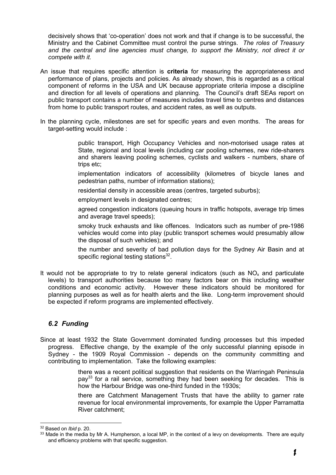decisively shows that 'co-operation' does not work and that if change is to be successful, the Ministry and the Cabinet Committee must control the purse strings. *The roles of Treasury and the central and line agencies must change, to support the Ministry, not direct it or compete with it.*

- An issue that requires specific attention is **criteria** for measuring the appropriateness and performance of plans, projects and policies. As already shown, this is regarded as a critical component of reforms in the USA and UK because appropriate criteria impose a discipline and direction for all levels of operations and planning. The Council's draft SEAs report on public transport contains a number of measures includes travel time to centres and distances from home to public transport routes, and accident rates, as well as outputs.
- In the planning cycle, milestones are set for specific years and even months. The areas for target-setting would include :

 public transport, High Occupancy Vehicles and non-motorised usage rates at State, regional and local levels (including car pooling schemes, new ride-sharers and sharers leaving pooling schemes, cyclists and walkers - numbers, share of trips etc;

 implementation indicators of accessibility (kilometres of bicycle lanes and pedestrian paths, number of information stations);

residential density in accessible areas (centres, targeted suburbs);

employment levels in designated centres;

 agreed congestion indicators (queuing hours in traffic hotspots, average trip times and average travel speeds);

 smoky truck exhausts and like offences. Indicators such as number of pre-1986 vehicles would come into play (public transport schemes would presumably allow the disposal of such vehicles); and

 the number and severity of bad pollution days for the Sydney Air Basin and at specific regional testing stations<sup>32</sup>.

It would not be appropriate to try to relate general indicators (such as  $NO<sub>x</sub>$  and particulate levels) to transport authorities because too many factors bear on this including weather conditions and economic activity. However these indicators should be monitored for planning purposes as well as for health alerts and the like. Long-term improvement should be expected if reform programs are implemented effectively.

### *6.2 Funding*

Since at least 1932 the State Government dominated funding processes but this impeded progress. Effective change, by the example of the only successful planning episode in Sydney - the 1909 Royal Commission - depends on the community committing and contributing to implementation. Take the following examples:

> there was a recent political suggestion that residents on the Warringah Peninsula  $pay<sup>33</sup>$  for a rail service, something they had been seeking for decades. This is how the Harbour Bridge was one-third funded in the 1930s:

> there are Catchment Management Trusts that have the ability to garner rate revenue for local environmental improvements, for example the Upper Parramatta River catchment;

 <sup>32</sup> Based on *Ibid* p. 20.

 $33$  Made in the media by Mr A. Humpherson, a local MP, in the context of a levy on developments. There are equity and efficiency problems with that specific suggestion.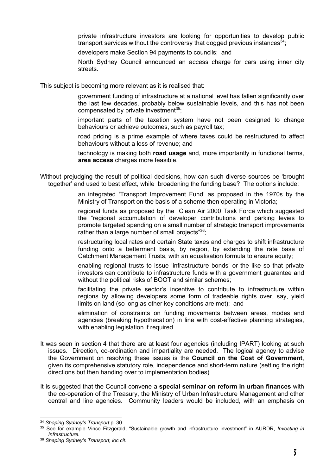private infrastructure investors are looking for opportunities to develop public transport services without the controversy that dogged previous instances<sup>34</sup>;

developers make Section 94 payments to councils; and

 North Sydney Council announced an access charge for cars using inner city streets.

This subject is becoming more relevant as it is realised that:

 government funding of infrastructure at a national level has fallen significantly over the last few decades, probably below sustainable levels, and this has not been compensated by private investment $35$ ;

 important parts of the taxation system have not been designed to change behaviours or achieve outcomes, such as payroll tax;

 road pricing is a prime example of where taxes could be restructured to affect behaviours without a loss of revenue; and

 technology is making both **road usage** and, more importantly in functional terms, **area access** charges more feasible.

Without prejudging the result of political decisions, how can such diverse sources be 'brought together' and used to best effect, while broadening the funding base? The options include:

> an integrated 'Transport Improvement Fund' as proposed in the 1970s by the Ministry of Transport on the basis of a scheme then operating in Victoria;

> regional funds as proposed by the Clean Air 2000 Task Force which suggested the "regional accumulation of developer contributions and parking levies to promote targeted spending on a small number of strategic transport improvements rather than a large number of small projects"<sup>36</sup>;

> restructuring local rates and certain State taxes and charges to shift infrastructure funding onto a betterment basis, by region, by extending the rate base of Catchment Management Trusts, with an equalisation formula to ensure equity;

> enabling regional trusts to issue 'infrastructure bonds' or the like so that private investors can contribute to infrastructure funds with a government guarantee and without the political risks of BOOT and similar schemes;

> facilitating the private sector's incentive to contribute to infrastructure within regions by allowing developers some form of tradeable rights over, say, yield limits on land (so long as other key conditions are met); and

> elimination of constraints on funding movements between areas, modes and agencies (breaking hypothecation) in line with cost-effective planning strategies, with enabling legislation if required.

- It was seen in section 4 that there are at least four agencies (including IPART) looking at such issues. Direction, co-ordination and impartiality are needed. The logical agency to advise the Government on resolving these issues is the **Council on the Cost of Government**, given its comprehensive statutory role, independence and short-term nature (setting the right directions but then handing over to implementation bodies).
- It is suggested that the Council convene a **special seminar on reform in urban finances** with the co-operation of the Treasury, the Ministry of Urban Infrastructure Management and other central and line agencies. Community leaders would be included, with an emphasis on

 <sup>34</sup> *Shaping Sydney's Transport* p. 30.

<sup>35</sup> See for example Vince Fitzgerald, "Sustainable growth and infrastructure investment" in AURDR, *Investing in Infrastructure*.

<sup>36</sup> *Shaping Sydney's Transport, loc cit*.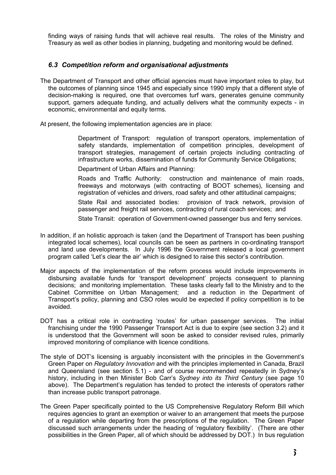finding ways of raising funds that will achieve real results. The roles of the Ministry and Treasury as well as other bodies in planning, budgeting and monitoring would be defined.

#### *6.3 Competition reform and organisational adjustments*

The Department of Transport and other official agencies must have important roles to play, but the outcomes of planning since 1945 and especially since 1990 imply that a different style of decision-making is required, one that overcomes turf wars, generates genuine community support, garners adequate funding, and actually delivers what the community expects - in economic, environmental and equity terms.

At present, the following implementation agencies are in place:

 Department of Transport: regulation of transport operators, implementation of safety standards, implementation of competition principles, development of transport strategies, management of certain projects including contracting of infrastructure works, dissemination of funds for Community Service Obligations;

Department of Urban Affairs and Planning:

 Roads and Traffic Authority: construction and maintenance of main roads, freeways and motorways (with contracting of BOOT schemes), licensing and registration of vehicles and drivers, road safety and other attitudinal campaigns;

 State Rail and associated bodies: provision of track network, provision of passenger and freight rail services, contracting of rural coach services; and

State Transit: operation of Government-owned passenger bus and ferry services.

- In addition, if an holistic approach is taken (and the Department of Transport has been pushing integrated local schemes), local councils can be seen as partners in co-ordinating transport and land use developments. In July 1996 the Government released a local government program called 'Let's clear the air' which is designed to raise this sector's contribution.
- Major aspects of the implementation of the reform process would include improvements in disbursing available funds for 'transport development' projects consequent to planning decisions; and monitoring implementation. These tasks clearly fall to the Ministry and to the Cabinet Committee on Urban Management; and a reduction in the Department of Transport's policy, planning and CSO roles would be expected if policy competition is to be avoided.
- DOT has a critical role in contracting 'routes' for urban passenger services. The initial franchising under the 1990 Passenger Transport Act is due to expire (see section 3.2) and it is understood that the Government will soon be asked to consider revised rules, primarily improved monitoring of compliance with licence conditions.
- The style of DOT's licensing is arguably inconsistent with the principles in the Government's Green Paper on *Regulatory Innovation* and with the principles implemented in Canada, Brazil and Queensland (see section 5.1) - and of course recommended repeatedly in Sydney's history, including in then Minister Bob Carr's *Sydney into its Third Century* (see page 10 above). The Department's regulation has tended to protect the interests of operators rather than increase public transport patronage.
- The Green Paper specifically pointed to the US Comprehensive Regulatory Reform Bill which requires agencies to grant an exemption or waiver to an arrangement that meets the purpose of a regulation while departing from the prescriptions of the regulation. The Green Paper discussed such arrangements under the heading of 'regulatory flexibility'. (There are other possibilities in the Green Paper, all of which should be addressed by DOT.) In bus regulation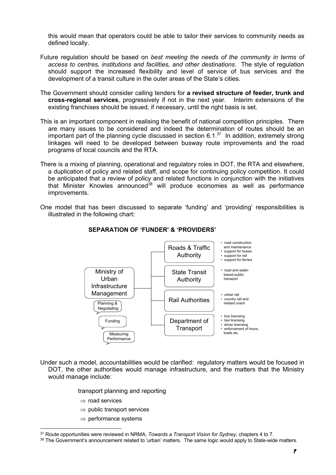this would mean that operators could be able to tailor their services to community needs as defined locally.

- Future regulation should be based on *best meeting the needs of the community in terms of access to centres, institutions and facilities, and other destinations*. The style of regulation should support the increased flexibility and level of service of bus services and the development of a transit culture in the outer areas of the State's cities.
- The Government should consider calling tenders for **a revised structure of feeder, trunk and cross-regional services**, progressively if not in the next year. Interim extensions of the existing franchises should be issued, if necessary, until the right basis is set.
- This is an important component in realising the benefit of national competition principles. There are many issues to be considered and indeed the determination of routes should be an important part of the planning cycle discussed in section  $6.1<sup>37</sup>$  In addition, extremely strong linkages will need to be developed between busway route improvements and the road programs of local councils and the RTA.
- There is a mixing of planning, operational and regulatory roles in DOT, the RTA and elsewhere, a duplication of policy and related staff, and scope for continuing policy competition. It could be anticipated that a review of policy and related functions in conjunction with the initiatives that Minister Knowles announced<sup>38</sup> will produce economies as well as performance improvements.
- One model that has been discussed to separate 'funding' and 'providing' responsibilities is illustrated in the following chart:



#### **SEPARATION OF 'FUNDER' & 'PROVIDERS'**

Under such a model, accountabilities would be clarified: regulatory matters would be focused in DOT, the other authorities would manage infrastructure, and the matters that the Ministry would manage include:

transport planning and reporting

- $\Rightarrow$  road services
- $\Rightarrow$  public transport services
- $\Rightarrow$  performance systems

 <sup>37</sup> Route opportunities were reviewed in NRMA, *Towards a Transport Vision for Sydney*, chapters 4 to 7.

<sup>38</sup> The Government's announcement related to 'urban' matters. The same logic would apply to State-wide matters.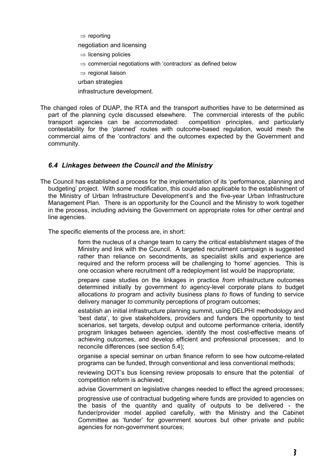$\Rightarrow$  reporting

negotiation and licensing

- $\Rightarrow$  licensing policies
- $\Rightarrow$  commercial negotiations with 'contractors' as defined below
- $\Rightarrow$  regional liaison
- urban strategies

infrastructure development.

The changed roles of DUAP, the RTA and the transport authorities have to be determined as part of the planning cycle discussed elsewhere. The commercial interests of the public transport agencies can be accommodated: competition principles, and particularly contestability for the 'planned' routes with outcome-based regulation, would mesh the commercial aims of the 'contractors' and the outcomes expected by the Government and community.

#### *6.4 Linkages between the Council and the Ministry*

The Council has established a process for the implementation of its 'performance, planning and budgeting' project. With some modification, this could also applicable to the establishment of the Ministry of Urban Infrastructure Development's and the five-year Urban Infrastructure Management Plan. There is an opportunity for the Council and the Ministry to work together in the process, including advising the Government on appropriate roles for other central and line agencies.

The specific elements of the process are, in short:

 form the nucleus of a change team to carry the critical establishment stages of the Ministry and link with the Council. A targeted recruitment campaign is suggested rather than reliance on secondments, as specialist skills and experience are required and the reform process will be challenging to 'home' agencies. This is one occasion where recruitment off a redeployment list would be inappropriate;

 prepare case studies on the linkages in practice *from* infrastructure outcomes determined initially by government *to* agency-level corporate plans *to* budget allocations *to* program and activity business plans *to* flows of funding to service delivery manager *to* community perceptions of program outcomes;

 establish an initial infrastructure planning summit, using DELPHI methodology and 'best data', to give stakeholders, providers and funders the opportunity to test scenarios, set targets, develop output and outcome performance criteria, identify program linkages between agencies, identify the most cost-effective means of achieving outcomes, and develop efficient and professional processes; and to reconcile differences (see section 5.4);

 organise a special seminar on urban finance reform to see how outcome-related programs can be funded, through conventional and less conventional methods;

 reviewing DOT's bus licensing review proposals to ensure that the potential of competition reform is achieved;

advise Government on legislative changes needed to effect the agreed processes;

 progressive use of contractual budgeting where funds are provided to agencies on the basis of the quantity and quality of outputs to be delivered - the funder/provider model applied carefully, with the Ministry and the Cabinet Committee as 'funder' for government sources but other private and public agencies for non-government sources;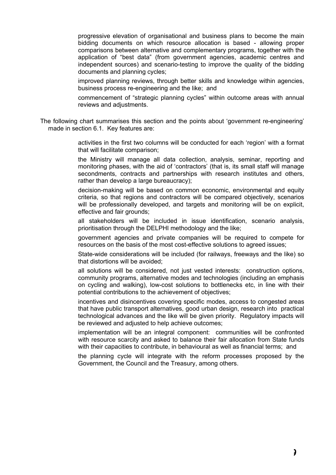progressive elevation of organisational and business plans to become the main bidding documents on which resource allocation is based - allowing proper comparisons between alternative and complementary programs, together with the application of "best data" (from government agencies, academic centres and independent sources) and scenario-testing to improve the quality of the bidding documents and planning cycles;

 improved planning reviews, through better skills and knowledge within agencies, business process re-engineering and the like; and

 commencement of "strategic planning cycles" within outcome areas with annual reviews and adjustments.

The following chart summarises this section and the points about 'government re-engineering' made in section 6.1. Key features are:

> activities in the first two columns will be conducted for each 'region' with a format that will facilitate comparison;

> the Ministry will manage all data collection, analysis, seminar, reporting and monitoring phases, with the aid of 'contractors' (that is, its small staff will manage secondments, contracts and partnerships with research institutes and others, rather than develop a large bureaucracy);

> decision-making will be based on common economic, environmental and equity criteria, so that regions and contractors will be compared objectively, scenarios will be professionally developed, and targets and monitoring will be on explicit, effective and fair grounds;

> all stakeholders will be included in issue identification, scenario analysis, prioritisation through the DELPHI methodology and the like;

> government agencies and private companies will be required to compete for resources on the basis of the most cost-effective solutions to agreed issues;

> State-wide considerations will be included (for railways, freeways and the like) so that distortions will be avoided;

> all solutions will be considered, not just vested interests: construction options, community programs, alternative modes and technologies (including an emphasis on cycling and walking), low-cost solutions to bottlenecks etc, in line with their potential contributions to the achievement of objectives;

> incentives and disincentives covering specific modes, access to congested areas that have public transport alternatives, good urban design, research into practical technological advances and the like will be given priority. Regulatory impacts will be reviewed and adjusted to help achieve outcomes;

> implementation will be an integral component: communities will be confronted with resource scarcity and asked to balance their fair allocation from State funds with their capacities to contribute, in behavioural as well as financial terms; and

> the planning cycle will integrate with the reform processes proposed by the Government, the Council and the Treasury, among others.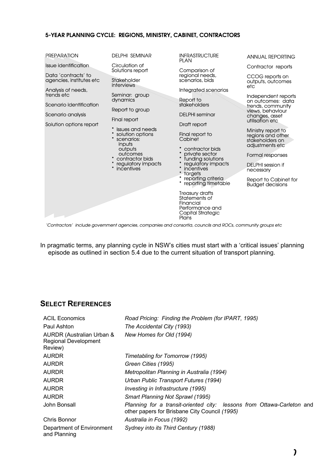#### 5-YEAR PLANNING CYCLE: REGIONS, MINISTRY, CABINET, CONTRACTORS



'Contractors' include government agencies, companies and consortia, councils and ROCs, community groups etc

In pragmatic terms, any planning cycle in NSW's cities must start with a 'critical issues' planning episode as outlined in section 5.4 due to the current situation of transport planning.

# **SELECT REFERENCES**

| <b>ACIL Economics</b>                                               | Road Pricing: Finding the Problem (for IPART, 1995)                                                                     |
|---------------------------------------------------------------------|-------------------------------------------------------------------------------------------------------------------------|
| Paul Ashton                                                         | The Accidental City (1993)                                                                                              |
| AURDR (Australian Urban &<br><b>Regional Development</b><br>Review) | New Homes for Old (1994)                                                                                                |
| <b>AURDR</b>                                                        | Timetabling for Tomorrow (1995)                                                                                         |
| <b>AURDR</b>                                                        | Green Cities (1995)                                                                                                     |
| <b>AURDR</b>                                                        | Metropolitan Planning in Australia (1994)                                                                               |
| <b>AURDR</b>                                                        | Urban Public Transport Futures (1994)                                                                                   |
| <b>AURDR</b>                                                        | Investing in Infrastructure (1995)                                                                                      |
| <b>AURDR</b>                                                        | <b>Smart Planning Not Sprawl (1995)</b>                                                                                 |
| John Bonsall                                                        | Planning for a transit-oriented city: lessons from Ottawa-Carleton and<br>other papers for Brisbane City Council (1995) |
| Chris Bonnor                                                        | Australia in Focus (1992)                                                                                               |
| Department of Environment<br>and Planning                           | Sydney into its Third Century (1988)                                                                                    |